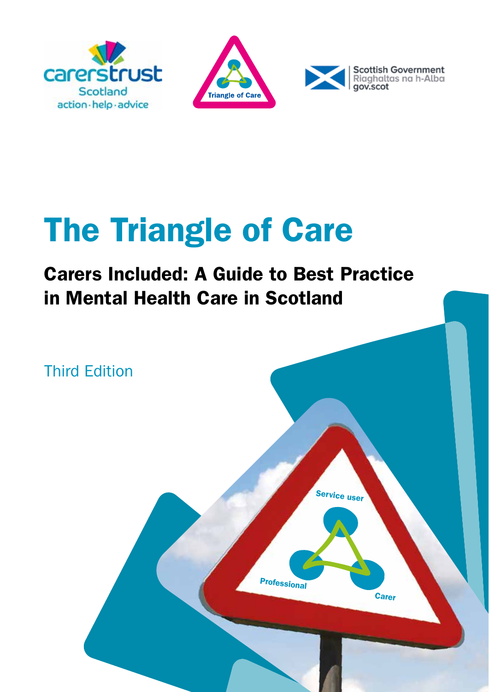





## The Triangle of Care

### Carers Included: A Guide to Best Practice in Mental Health Care in Scotland

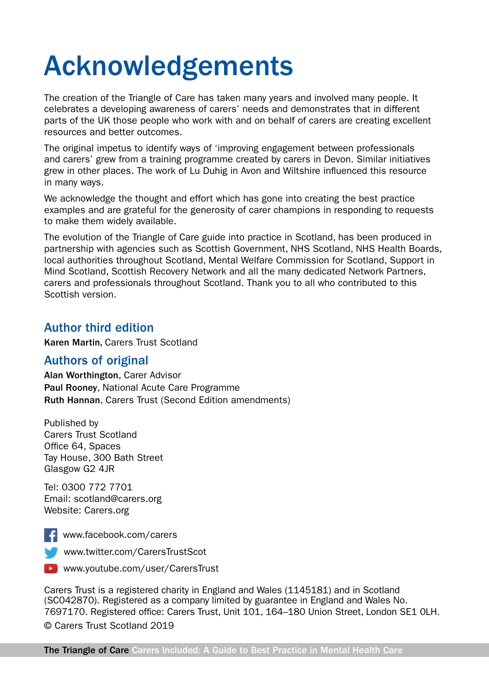## Acknowledgements

The creation of the Triangle of Care has taken many years and involved many people. It celebrates a developing awareness of carers' needs and demonstrates that in different parts of the UK those people who work with and on behalf of carers are creating excellent resources and better outcomes.

The original impetus to identify ways of 'improving engagement between professionals and carers' grew from a training programme created by carers in Devon. Similar initiatives grew in other places. The work of Lu Duhig in Avon and Wiltshire influenced this resource in many ways.

We acknowledge the thought and effort which has gone into creating the best practice examples and are grateful for the generosity of carer champions in responding to requests to make them widely available.

The evolution of the Triangle of Care guide into practice in Scotland, has been produced in partnership with agencies such as Scottish Government, NHS Scotland, NHS Health Boards, local authorities throughout Scotland, Mental Welfare Commission for Scotland, Support in Mind Scotland, Scottish Recovery Network and all the many dedicated Network Partners, carers and professionals throughout Scotland. Thank you to all who contributed to this Scottish version.

#### Author third edition

Karen Martin, Carers Trust Scotland

#### Authors of original

Alan Worthington, Carer Advisor Paul Rooney, National Acute Care Programme Ruth Hannan, Carers Trust (Second Edition amendments)

Published by Carers Trust Scotland Office 64, Spaces Tay House, 300 Bath Street Glasgow G2 4JR

Tel: 0300 772 7701 Email: scotland@carers.org Website: Carers.org



www.facebook.com/carers

**WWW.twitter.com/CarersTrustScot** 



Carers Trust is a registered charity in England and Wales (1145181) and in Scotland (SC042870). Registered as a company limited by guarantee in England and Wales No. 7697170. Registered office: Carers Trust, Unit 101, 164–180 Union Street, London SE1 0LH. © Carers Trust Scotland 2019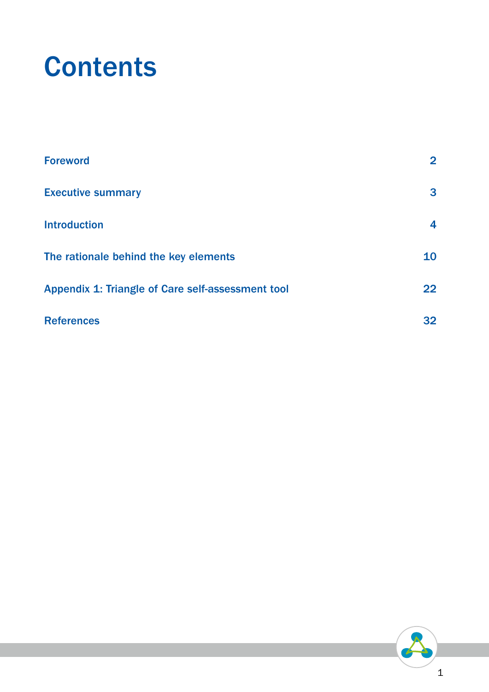## **Contents**

| <b>Foreword</b>                                   | $\mathbf{2}$ |
|---------------------------------------------------|--------------|
| <b>Executive summary</b>                          | 3            |
| <b>Introduction</b>                               | 4            |
| The rationale behind the key elements             | 10           |
| Appendix 1: Triangle of Care self-assessment tool | $22 \,$      |
| <b>References</b>                                 | 32           |

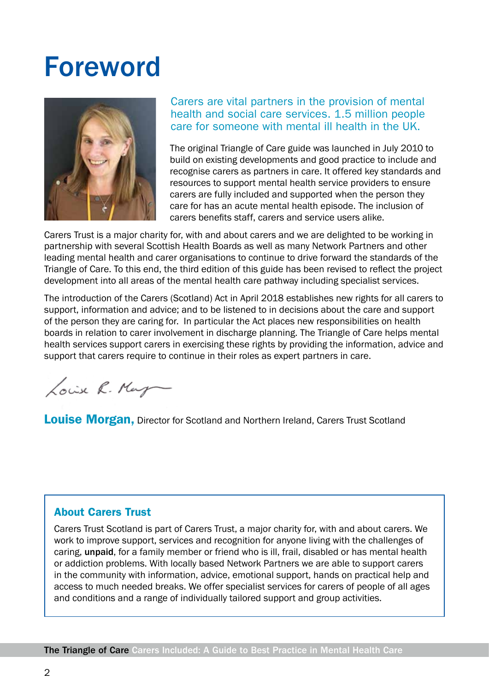## Foreword



#### Carers are vital partners in the provision of mental health and social care services. 1.5 million people care for someone with mental ill health in the UK.

The original Triangle of Care guide was launched in July 2010 to build on existing developments and good practice to include and recognise carers as partners in care. It offered key standards and resources to support mental health service providers to ensure carers are fully included and supported when the person they care for has an acute mental health episode. The inclusion of carers benefits staff, carers and service users alike.

Carers Trust is a major charity for, with and about carers and we are delighted to be working in partnership with several Scottish Health Boards as well as many Network Partners and other leading mental health and carer organisations to continue to drive forward the standards of the Triangle of Care. To this end, the third edition of this guide has been revised to reflect the project development into all areas of the mental health care pathway including specialist services.

The introduction of the Carers (Scotland) Act in April 2018 establishes new rights for all carers to support, information and advice; and to be listened to in decisions about the care and support of the person they are caring for. In particular the Act places new responsibilities on health boards in relation to carer involvement in discharge planning. The Triangle of Care helps mental health services support carers in exercising these rights by providing the information, advice and support that carers require to continue in their roles as expert partners in care.

Louise R. Mayn

**Louise Morgan, Director for Scotland and Northern Ireland, Carers Trust Scotland** 

#### About Carers Trust

Carers Trust Scotland is part of Carers Trust, a major charity for, with and about carers. We work to improve support, services and recognition for anyone living with the challenges of caring, unpaid, for a family member or friend who is ill, frail, disabled or has mental health or addiction problems. With locally based Network Partners we are able to support carers in the community with information, advice, emotional support, hands on practical help and access to much needed breaks. We offer specialist services for carers of people of all ages and conditions and a range of individually tailored support and group activities.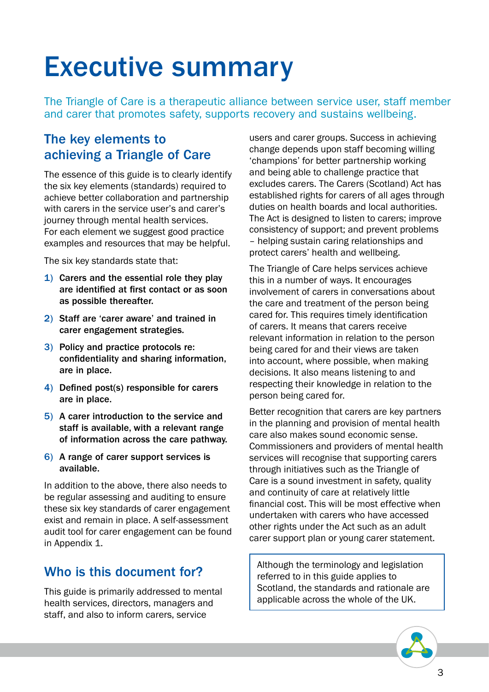## Executive summary

The Triangle of Care is a therapeutic alliance between service user, staff member and carer that promotes safety, supports recovery and sustains wellbeing.

#### The key elements to achieving a Triangle of Care

The essence of this guide is to clearly identify the six key elements (standards) required to achieve better collaboration and partnership with carers in the service user's and carer's journey through mental health services. For each element we suggest good practice examples and resources that may be helpful.

The six key standards state that:

- 1) Carers and the essential role they play are identified at first contact or as soon as possible thereafter.
- 2) Staff are 'carer aware' and trained in carer engagement strategies.
- 3) Policy and practice protocols re: confidentiality and sharing information, are in place.
- 4) Defined post(s) responsible for carers are in place.
- 5) A carer introduction to the service and staff is available, with a relevant range of information across the care pathway.
- 6) A range of carer support services is available.

In addition to the above, there also needs to be regular assessing and auditing to ensure these six key standards of carer engagement exist and remain in place. A self-assessment audit tool for carer engagement can be found in Appendix 1.

#### Who is this document for?

This guide is primarily addressed to mental health services, directors, managers and staff, and also to inform carers, service

users and carer groups. Success in achieving change depends upon staff becoming willing 'champions' for better partnership working and being able to challenge practice that excludes carers. The Carers (Scotland) Act has established rights for carers of all ages through duties on health boards and local authorities. The Act is designed to listen to carers; improve consistency of support; and prevent problems – helping sustain caring relationships and protect carers' health and wellbeing.

The Triangle of Care helps services achieve this in a number of ways. It encourages involvement of carers in conversations about the care and treatment of the person being cared for. This requires timely identification of carers. It means that carers receive relevant information in relation to the person being cared for and their views are taken into account, where possible, when making decisions. It also means listening to and respecting their knowledge in relation to the person being cared for.

Better recognition that carers are key partners in the planning and provision of mental health care also makes sound economic sense. Commissioners and providers of mental health services will recognise that supporting carers through initiatives such as the Triangle of Care is a sound investment in safety, quality and continuity of care at relatively little financial cost. This will be most effective when undertaken with carers who have accessed other rights under the Act such as an adult carer support plan or young carer statement.

Although the terminology and legislation referred to in this guide applies to Scotland, the standards and rationale are applicable across the whole of the UK.

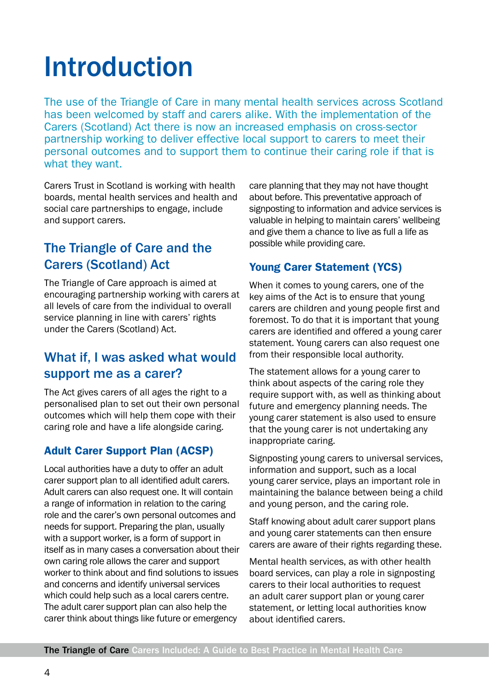## Introduction

The use of the Triangle of Care in many mental health services across Scotland has been welcomed by staff and carers alike. With the implementation of the Carers (Scotland) Act there is now an increased emphasis on cross-sector partnership working to deliver effective local support to carers to meet their personal outcomes and to support them to continue their caring role if that is what they want.

Carers Trust in Scotland is working with health boards, mental health services and health and social care partnerships to engage, include and support carers.

#### The Triangle of Care and the Carers (Scotland) Act

The Triangle of Care approach is aimed at encouraging partnership working with carers at all levels of care from the individual to overall service planning in line with carers' rights under the Carers (Scotland) Act.

#### What if, I was asked what would support me as a carer?

The Act gives carers of all ages the right to a personalised plan to set out their own personal outcomes which will help them cope with their caring role and have a life alongside caring.

#### Adult Carer Support Plan (ACSP)

Local authorities have a duty to offer an adult carer support plan to all identified adult carers. Adult carers can also request one. It will contain a range of information in relation to the caring role and the carer's own personal outcomes and needs for support. Preparing the plan, usually with a support worker, is a form of support in itself as in many cases a conversation about their own caring role allows the carer and support worker to think about and find solutions to issues and concerns and identify universal services which could help such as a local carers centre. The adult carer support plan can also help the carer think about things like future or emergency

care planning that they may not have thought about before. This preventative approach of signposting to information and advice services is valuable in helping to maintain carers' wellbeing and give them a chance to live as full a life as possible while providing care.

#### Young Carer Statement (YCS)

When it comes to young carers, one of the key aims of the Act is to ensure that young carers are children and young people first and foremost. To do that it is important that young carers are identified and offered a young carer statement. Young carers can also request one from their responsible local authority.

The statement allows for a young carer to think about aspects of the caring role they require support with, as well as thinking about future and emergency planning needs. The young carer statement is also used to ensure that the young carer is not undertaking any inappropriate caring.

Signposting young carers to universal services, information and support, such as a local young carer service, plays an important role in maintaining the balance between being a child and young person, and the caring role.

Staff knowing about adult carer support plans and young carer statements can then ensure carers are aware of their rights regarding these.

Mental health services, as with other health board services, can play a role in signposting carers to their local authorities to request an adult carer support plan or young carer statement, or letting local authorities know about identified carers.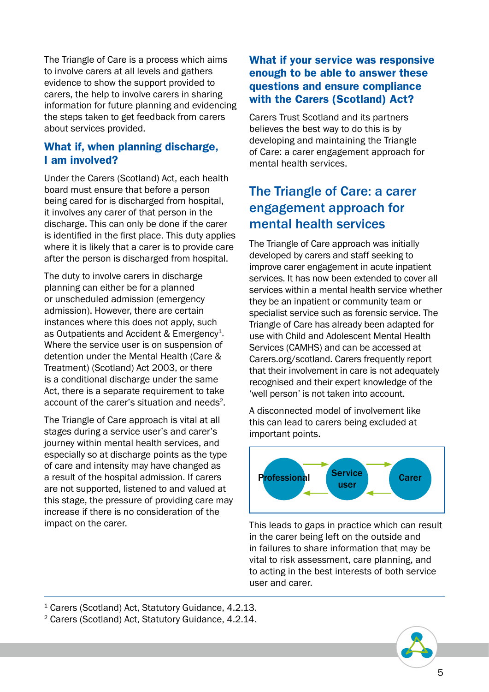The Triangle of Care is a process which aims to involve carers at all levels and gathers evidence to show the support provided to carers, the help to involve carers in sharing information for future planning and evidencing the steps taken to get feedback from carers about services provided.

#### What if, when planning discharge, I am involved?

Under the Carers (Scotland) Act, each health board must ensure that before a person being cared for is discharged from hospital, it involves any carer of that person in the discharge. This can only be done if the carer is identified in the first place. This duty applies where it is likely that a carer is to provide care after the person is discharged from hospital.

The duty to involve carers in discharge planning can either be for a planned or unscheduled admission (emergency admission). However, there are certain instances where this does not apply, such as Outpatients and Accident & Emergency<sup>1</sup>. Where the service user is on suspension of detention under the Mental Health (Care & Treatment) (Scotland) Act 2003, or there is a conditional discharge under the same Act, there is a separate requirement to take account of the carer's situation and needs<sup>2</sup>.

The Triangle of Care approach is vital at all stages during a service user's and carer's journey within mental health services, and especially so at discharge points as the type of care and intensity may have changed as a result of the hospital admission. If carers are not supported, listened to and valued at this stage, the pressure of providing care may increase if there is no consideration of the impact on the carer.

#### What if your service was responsive enough to be able to answer these questions and ensure compliance with the Carers (Scotland) Act?

Carers Trust Scotland and its partners believes the best way to do this is by developing and maintaining the Triangle of Care: a carer engagement approach for mental health services.

#### The Triangle of Care: a carer engagement approach for mental health services

The Triangle of Care approach was initially developed by carers and staff seeking to improve carer engagement in acute inpatient services. It has now been extended to cover all services within a mental health service whether they be an inpatient or community team or specialist service such as forensic service. The Triangle of Care has already been adapted for use with Child and Adolescent Mental Health Services (CAMHS) and can be accessed at Carers.org/scotland. Carers frequently report that their involvement in care is not adequately recognised and their expert knowledge of the 'well person' is not taken into account.

A disconnected model of involvement like this can lead to carers being excluded at important points.



This leads to gaps in practice which can result in the carer being left on the outside and in failures to share information that may be vital to risk assessment, care planning, and to acting in the best interests of both service user and carer.

<sup>1</sup> Carers (Scotland) Act, Statutory Guidance, 4.2.13.

2 Carers (Scotland) Act, Statutory Guidance, 4.2.14.

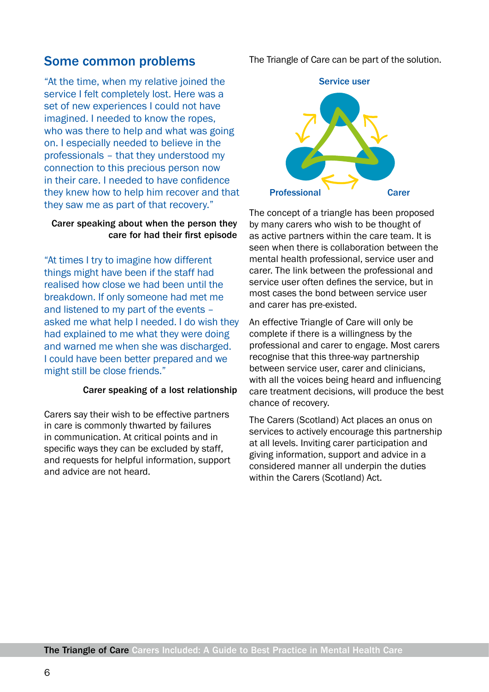#### Some common problems

"At the time, when my relative joined the service I felt completely lost. Here was a set of new experiences I could not have imagined. I needed to know the ropes, who was there to help and what was going on. I especially needed to believe in the professionals – that they understood my connection to this precious person now in their care. I needed to have confidence they knew how to help him recover and that they saw me as part of that recovery."

#### Carer speaking about when the person they care for had their first episode

"At times I try to imagine how different things might have been if the staff had realised how close we had been until the breakdown. If only someone had met me and listened to my part of the events – asked me what help I needed. I do wish they had explained to me what they were doing and warned me when she was discharged. I could have been better prepared and we might still be close friends."

#### Carer speaking of a lost relationship

Carers say their wish to be effective partners in care is commonly thwarted by failures in communication. At critical points and in specific ways they can be excluded by staff, and requests for helpful information, support and advice are not heard.

The Triangle of Care can be part of the solution.



The concept of a triangle has been proposed by many carers who wish to be thought of as active partners within the care team. It is seen when there is collaboration between the mental health professional, service user and carer. The link between the professional and service user often defines the service, but in most cases the bond between service user and carer has pre-existed.

An effective Triangle of Care will only be complete if there is a willingness by the professional and carer to engage. Most carers recognise that this three-way partnership between service user, carer and clinicians, with all the voices being heard and influencing care treatment decisions, will produce the best chance of recovery.

The Carers (Scotland) Act places an onus on services to actively encourage this partnership at all levels. Inviting carer participation and giving information, support and advice in a considered manner all underpin the duties within the Carers (Scotland) Act.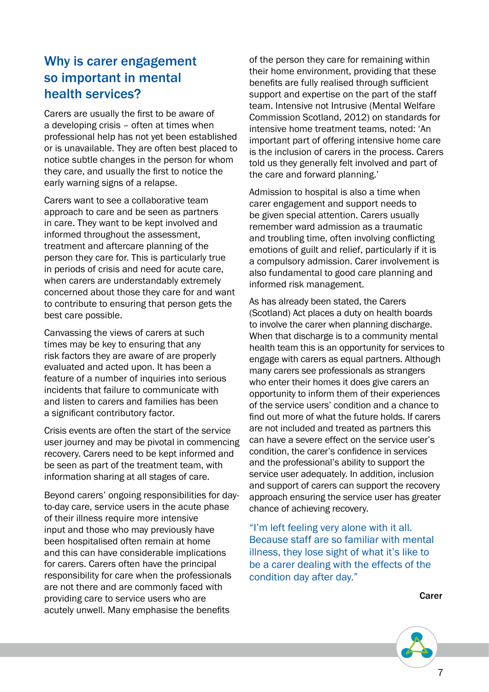#### Why is carer engagement so important in mental health services?

Carers are usually the first to be aware of a developing crisis – often at times when professional help has not yet been established or is unavailable. They are often best placed to notice subtle changes in the person for whom they care, and usually the first to notice the early warning signs of a relapse.

Carers want to see a collaborative team approach to care and be seen as partners in care. They want to be kept involved and informed throughout the assessment, treatment and aftercare planning of the person they care for. This is particularly true in periods of crisis and need for acute care, when carers are understandably extremely concerned about those they care for and want to contribute to ensuring that person gets the best care possible.

Canvassing the views of carers at such times may be key to ensuring that any risk factors they are aware of are properly evaluated and acted upon. It has been a feature of a number of inquiries into serious incidents that failure to communicate with and listen to carers and families has been a significant contributory factor.

Crisis events are often the start of the service user journey and may be pivotal in commencing recovery. Carers need to be kept informed and be seen as part of the treatment team, with information sharing at all stages of care.

Beyond carers' ongoing responsibilities for dayto-day care, service users in the acute phase of their illness require more intensive input and those who may previously have been hospitalised often remain at home and this can have considerable implications for carers. Carers often have the principal responsibility for care when the professionals are not there and are commonly faced with providing care to service users who are acutely unwell. Many emphasise the benefits

of the person they care for remaining within their home environment, providing that these benefits are fully realised through sufficient support and expertise on the part of the staff team. Intensive not Intrusive (Mental Welfare Commission Scotland, 2012) on standards for intensive home treatment teams, noted: 'An important part of offering intensive home care is the inclusion of carers in the process. Carers told us they generally felt involved and part of the care and forward planning.'

Admission to hospital is also a time when carer engagement and support needs to be given special attention. Carers usually remember ward admission as a traumatic and troubling time, often involving conflicting emotions of guilt and relief, particularly if it is a compulsory admission. Carer involvement is also fundamental to good care planning and informed risk management.

As has already been stated, the Carers (Scotland) Act places a duty on health boards to involve the carer when planning discharge. When that discharge is to a community mental health team this is an opportunity for services to engage with carers as equal partners. Although many carers see professionals as strangers who enter their homes it does give carers an opportunity to inform them of their experiences of the service users' condition and a chance to find out more of what the future holds. If carers are not included and treated as partners this can have a severe effect on the service user's condition, the carer's confidence in services and the professional's ability to support the service user adequately. In addition, inclusion and support of carers can support the recovery approach ensuring the service user has greater chance of achieving recovery.

"I'm left feeling very alone with it all. Because staff are so familiar with mental illness, they lose sight of what it's like to be a carer dealing with the effects of the condition day after day."

Carer

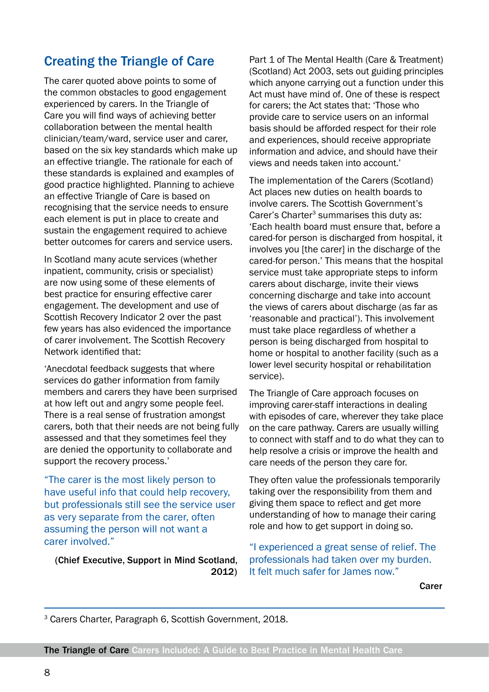#### Creating the Triangle of Care

The carer quoted above points to some of the common obstacles to good engagement experienced by carers. In the Triangle of Care you will find ways of achieving better collaboration between the mental health clinician/team/ward, service user and carer, based on the six key standards which make up an effective triangle. The rationale for each of these standards is explained and examples of good practice highlighted. Planning to achieve an effective Triangle of Care is based on recognising that the service needs to ensure each element is put in place to create and sustain the engagement required to achieve better outcomes for carers and service users.

In Scotland many acute services (whether inpatient, community, crisis or specialist) are now using some of these elements of best practice for ensuring effective carer engagement. The development and use of Scottish Recovery Indicator 2 over the past few years has also evidenced the importance of carer involvement. The Scottish Recovery Network identified that:

'Anecdotal feedback suggests that where services do gather information from family members and carers they have been surprised at how left out and angry some people feel. There is a real sense of frustration amongst carers, both that their needs are not being fully assessed and that they sometimes feel they are denied the opportunity to collaborate and support the recovery process.'

"The carer is the most likely person to have useful info that could help recovery, but professionals still see the service user as very separate from the carer, often assuming the person will not want a carer involved."

(Chief Executive, Support in Mind Scotland, 2012)

Part 1 of The Mental Health (Care & Treatment) (Scotland) Act 2003, sets out guiding principles which anyone carrying out a function under this Act must have mind of. One of these is respect for carers; the Act states that: 'Those who provide care to service users on an informal basis should be afforded respect for their role and experiences, should receive appropriate information and advice, and should have their views and needs taken into account.'

The implementation of the Carers (Scotland) Act places new duties on health boards to involve carers. The Scottish Government's Carer's Charter<sup>3</sup> summarises this duty as: 'Each health board must ensure that, before a cared-for person is discharged from hospital, it involves you [the carer] in the discharge of the cared-for person.' This means that the hospital service must take appropriate steps to inform carers about discharge, invite their views concerning discharge and take into account the views of carers about discharge (as far as 'reasonable and practical'). This involvement must take place regardless of whether a person is being discharged from hospital to home or hospital to another facility (such as a lower level security hospital or rehabilitation service).

The Triangle of Care approach focuses on improving carer-staff interactions in dealing with episodes of care, wherever they take place on the care pathway. Carers are usually willing to connect with staff and to do what they can to help resolve a crisis or improve the health and care needs of the person they care for.

They often value the professionals temporarily taking over the responsibility from them and giving them space to reflect and get more understanding of how to manage their caring role and how to get support in doing so.

"I experienced a great sense of relief. The professionals had taken over my burden. It felt much safer for James now."

Carer

3 Carers Charter, Paragraph 6, Scottish Government, 2018.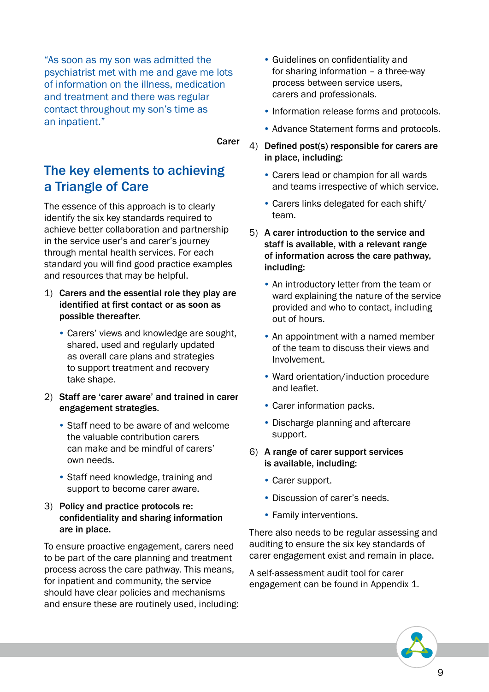"As soon as my son was admitted the psychiatrist met with me and gave me lots of information on the illness, medication and treatment and there was regular contact throughout my son's time as an inpatient."

Carer

#### The key elements to achieving a Triangle of Care

The essence of this approach is to clearly identify the six key standards required to achieve better collaboration and partnership in the service user's and carer's journey through mental health services. For each standard you will find good practice examples and resources that may be helpful.

#### 1) Carers and the essential role they play are identified at first contact or as soon as possible thereafter.

- Carers' views and knowledge are sought, shared, used and regularly updated as overall care plans and strategies to support treatment and recovery take shape.
- 2) Staff are 'carer aware' and trained in carer engagement strategies.
	- Staff need to be aware of and welcome the valuable contribution carers can make and be mindful of carers' own needs.
	- Staff need knowledge, training and support to become carer aware.

#### 3) Policy and practice protocols re: confidentiality and sharing information are in place.

To ensure proactive engagement, carers need to be part of the care planning and treatment process across the care pathway. This means, for inpatient and community, the service should have clear policies and mechanisms and ensure these are routinely used, including:

- Guidelines on confidentiality and for sharing information – a three-way process between service users, carers and professionals.
- Information release forms and protocols.
- Advance Statement forms and protocols.
- 4) Defined post(s) responsible for carers are in place, including:
	- Carers lead or champion for all wards and teams irrespective of which service.
	- Carers links delegated for each shift/ team.
- 5) A carer introduction to the service and staff is available, with a relevant range of information across the care pathway, including:
	- An introductory letter from the team or ward explaining the nature of the service provided and who to contact, including out of hours.
	- An appointment with a named member of the team to discuss their views and Involvement.
	- Ward orientation/induction procedure and leaflet.
	- Carer information packs.
	- Discharge planning and aftercare support.
- 6) A range of carer support services is available, including:
	- Carer support.
	- Discussion of carer's needs.
	- Family interventions.

There also needs to be regular assessing and auditing to ensure the six key standards of carer engagement exist and remain in place.

A self-assessment audit tool for carer engagement can be found in Appendix 1.

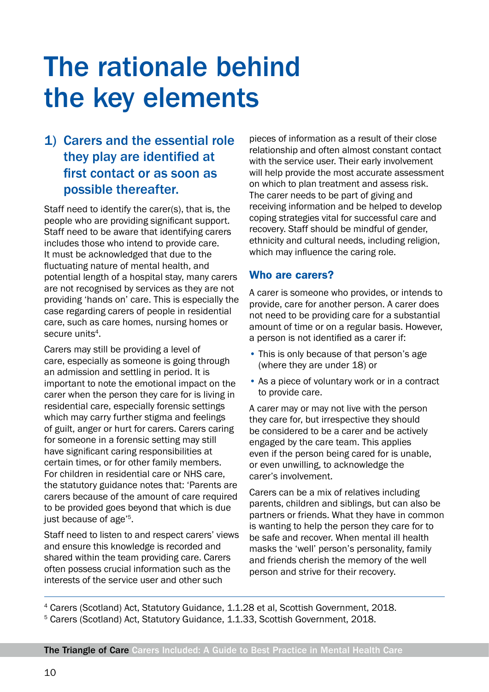## The rationale behind the key elements

#### 1) Carers and the essential role they play are identified at first contact or as soon as possible thereafter.

Staff need to identify the carer(s), that is, the people who are providing significant support. Staff need to be aware that identifying carers includes those who intend to provide care. It must be acknowledged that due to the fluctuating nature of mental health, and potential length of a hospital stay, many carers are not recognised by services as they are not providing 'hands on' care. This is especially the case regarding carers of people in residential care, such as care homes, nursing homes or secure units<sup>4</sup>.

Carers may still be providing a level of care, especially as someone is going through an admission and settling in period. It is important to note the emotional impact on the carer when the person they care for is living in residential care, especially forensic settings which may carry further stigma and feelings of guilt, anger or hurt for carers. Carers caring for someone in a forensic setting may still have significant caring responsibilities at certain times, or for other family members. For children in residential care or NHS care, the statutory guidance notes that: 'Parents are carers because of the amount of care required to be provided goes beyond that which is due just because of age'5.

Staff need to listen to and respect carers' views and ensure this knowledge is recorded and shared within the team providing care. Carers often possess crucial information such as the interests of the service user and other such

pieces of information as a result of their close relationship and often almost constant contact with the service user. Their early involvement will help provide the most accurate assessment on which to plan treatment and assess risk. The carer needs to be part of giving and receiving information and be helped to develop coping strategies vital for successful care and recovery. Staff should be mindful of gender, ethnicity and cultural needs, including religion, which may influence the caring role.

#### Who are carers?

A carer is someone who provides, or intends to provide, care for another person. A carer does not need to be providing care for a substantial amount of time or on a regular basis. However, a person is not identified as a carer if:

- This is only because of that person's age (where they are under 18) or
- As a piece of voluntary work or in a contract to provide care.

A carer may or may not live with the person they care for, but irrespective they should be considered to be a carer and be actively engaged by the care team. This applies even if the person being cared for is unable, or even unwilling, to acknowledge the carer's involvement.

Carers can be a mix of relatives including parents, children and siblings, but can also be partners or friends. What they have in common is wanting to help the person they care for to be safe and recover. When mental ill health masks the 'well' person's personality, family and friends cherish the memory of the well person and strive for their recovery.

4 Carers (Scotland) Act, Statutory Guidance, 1.1.28 et al, Scottish Government, 2018. 5 Carers (Scotland) Act, Statutory Guidance, 1.1.33, Scottish Government, 2018.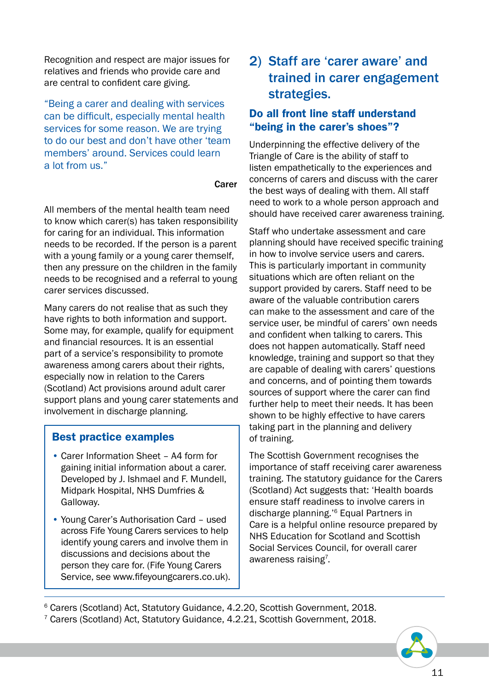Recognition and respect are major issues for relatives and friends who provide care and are central to confident care giving.

"Being a carer and dealing with services can be difficult, especially mental health services for some reason. We are trying to do our best and don't have other 'team members' around. Services could learn a lot from us."

#### Carer

All members of the mental health team need to know which carer(s) has taken responsibility for caring for an individual. This information needs to be recorded. If the person is a parent with a young family or a young carer themself, then any pressure on the children in the family needs to be recognised and a referral to young carer services discussed.

Many carers do not realise that as such they have rights to both information and support. Some may, for example, qualify for equipment and financial resources. It is an essential part of a service's responsibility to promote awareness among carers about their rights, especially now in relation to the Carers (Scotland) Act provisions around adult carer support plans and young carer statements and involvement in discharge planning.

#### Best practice examples

- Carer Information Sheet A4 form for gaining initial information about a carer. Developed by J. Ishmael and F. Mundell, Midpark Hospital, NHS Dumfries & Galloway.
- Young Carer's Authorisation Card used across Fife Young Carers services to help identify young carers and involve them in discussions and decisions about the person they care for. (Fife Young Carers Service, see www.fifeyoungcarers.co.uk).

#### 2) Staff are 'carer aware' and trained in carer engagement strategies.

#### Do all front line staff understand "being in the carer's shoes"?

Underpinning the effective delivery of the Triangle of Care is the ability of staff to listen empathetically to the experiences and concerns of carers and discuss with the carer the best ways of dealing with them. All staff need to work to a whole person approach and should have received carer awareness training.

Staff who undertake assessment and care planning should have received specific training in how to involve service users and carers. This is particularly important in community situations which are often reliant on the support provided by carers. Staff need to be aware of the valuable contribution carers can make to the assessment and care of the service user, be mindful of carers' own needs and confident when talking to carers. This does not happen automatically. Staff need knowledge, training and support so that they are capable of dealing with carers' questions and concerns, and of pointing them towards sources of support where the carer can find further help to meet their needs. It has been shown to be highly effective to have carers taking part in the planning and delivery of training.

The Scottish Government recognises the importance of staff receiving carer awareness training. The statutory guidance for the Carers (Scotland) Act suggests that: 'Health boards ensure staff readiness to involve carers in discharge planning.'6 Equal Partners in Care is a helpful online resource prepared by NHS Education for Scotland and Scottish Social Services Council, for overall carer awareness raising<sup>7</sup>.

6 Carers (Scotland) Act, Statutory Guidance, 4.2.20, Scottish Government, 2018. 7 Carers (Scotland) Act, Statutory Guidance, 4.2.21, Scottish Government, 2018.

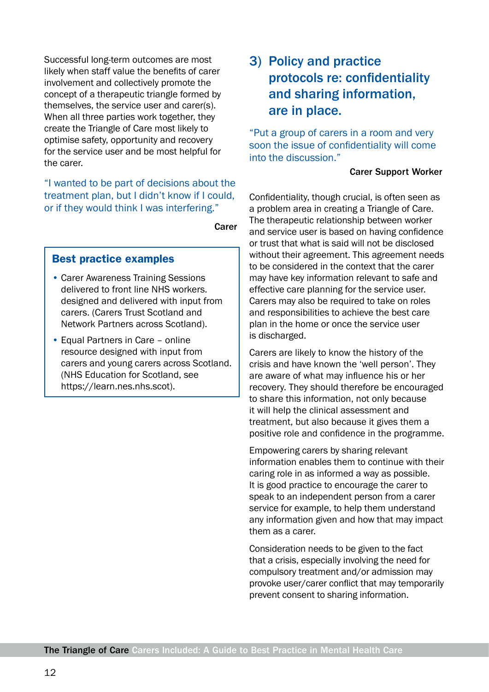Successful long-term outcomes are most likely when staff value the benefits of carer involvement and collectively promote the concept of a therapeutic triangle formed by themselves, the service user and carer(s). When all three parties work together, they create the Triangle of Care most likely to optimise safety, opportunity and recovery for the service user and be most helpful for the carer.

"I wanted to be part of decisions about the treatment plan, but I didn't know if I could, or if they would think I was interfering."

Carer

#### Best practice examples

- Carer Awareness Training Sessions delivered to front line NHS workers. designed and delivered with input from carers. (Carers Trust Scotland and Network Partners across Scotland).
- Equal Partners in Care online resource designed with input from carers and young carers across Scotland. (NHS Education for Scotland, see https://learn.nes.nhs.scot).

#### 3) Policy and practice protocols re: confidentiality and sharing information, are in place.

"Put a group of carers in a room and very soon the issue of confidentiality will come into the discussion."

#### Carer Support Worker

Confidentiality, though crucial, is often seen as a problem area in creating a Triangle of Care. The therapeutic relationship between worker and service user is based on having confidence or trust that what is said will not be disclosed without their agreement. This agreement needs to be considered in the context that the carer may have key information relevant to safe and effective care planning for the service user. Carers may also be required to take on roles and responsibilities to achieve the best care plan in the home or once the service user is discharged.

Carers are likely to know the history of the crisis and have known the 'well person'. They are aware of what may influence his or her recovery. They should therefore be encouraged to share this information, not only because it will help the clinical assessment and treatment, but also because it gives them a positive role and confidence in the programme.

Empowering carers by sharing relevant information enables them to continue with their caring role in as informed a way as possible. It is good practice to encourage the carer to speak to an independent person from a carer service for example, to help them understand any information given and how that may impact them as a carer.

Consideration needs to be given to the fact that a crisis, especially involving the need for compulsory treatment and/or admission may provoke user/carer conflict that may temporarily prevent consent to sharing information.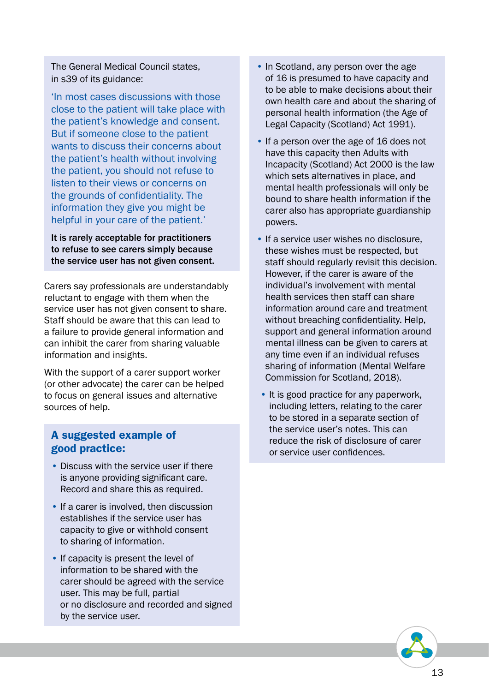The General Medical Council states, in s39 of its guidance:

'In most cases discussions with those close to the patient will take place with the patient's knowledge and consent. But if someone close to the patient wants to discuss their concerns about the patient's health without involving the patient, you should not refuse to listen to their views or concerns on the grounds of confidentiality. The information they give you might be helpful in your care of the patient.'

It is rarely acceptable for practitioners to refuse to see carers simply because the service user has not given consent.

Carers say professionals are understandably reluctant to engage with them when the service user has not given consent to share. Staff should be aware that this can lead to a failure to provide general information and can inhibit the carer from sharing valuable information and insights.

With the support of a carer support worker (or other advocate) the carer can be helped to focus on general issues and alternative sources of help.

#### A suggested example of good practice:

- Discuss with the service user if there is anyone providing significant care. Record and share this as required.
- If a carer is involved, then discussion establishes if the service user has capacity to give or withhold consent to sharing of information.
- If capacity is present the level of information to be shared with the carer should be agreed with the service user. This may be full, partial or no disclosure and recorded and signed by the service user.
- In Scotland, any person over the age of 16 is presumed to have capacity and to be able to make decisions about their own health care and about the sharing of personal health information (the Age of Legal Capacity (Scotland) Act 1991).
- If a person over the age of 16 does not have this capacity then Adults with Incapacity (Scotland) Act 2000 is the law which sets alternatives in place, and mental health professionals will only be bound to share health information if the carer also has appropriate guardianship powers.
- If a service user wishes no disclosure, these wishes must be respected, but staff should regularly revisit this decision. However, if the carer is aware of the individual's involvement with mental health services then staff can share information around care and treatment without breaching confidentiality. Help, support and general information around mental illness can be given to carers at any time even if an individual refuses sharing of information (Mental Welfare Commission for Scotland, 2018).
- It is good practice for any paperwork, including letters, relating to the carer to be stored in a separate section of the service user's notes. This can reduce the risk of disclosure of carer or service user confidences.

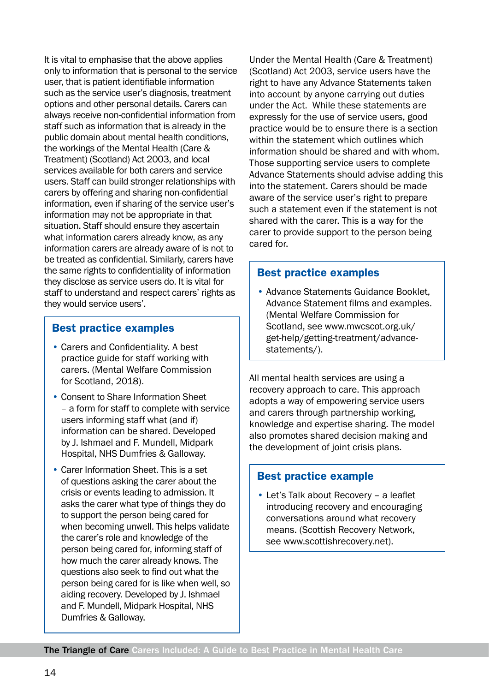It is vital to emphasise that the above applies only to information that is personal to the service user, that is patient identifiable information such as the service user's diagnosis, treatment options and other personal details. Carers can always receive non-confidential information from staff such as information that is already in the public domain about mental health conditions, the workings of the Mental Health (Care & Treatment) (Scotland) Act 2003, and local services available for both carers and service users. Staff can build stronger relationships with carers by offering and sharing non-confidential information, even if sharing of the service user's information may not be appropriate in that situation. Staff should ensure they ascertain what information carers already know, as any information carers are already aware of is not to be treated as confidential. Similarly, carers have the same rights to confidentiality of information they disclose as service users do. It is vital for staff to understand and respect carers' rights as they would service users'.

#### Best practice examples

- Carers and Confidentiality. A best practice guide for staff working with carers. (Mental Welfare Commission for Scotland, 2018).
- Consent to Share Information Sheet – a form for staff to complete with service users informing staff what (and if) information can be shared. Developed by J. Ishmael and F. Mundell, Midpark Hospital, NHS Dumfries & Galloway.
- Carer Information Sheet. This is a set of questions asking the carer about the crisis or events leading to admission. It asks the carer what type of things they do to support the person being cared for when becoming unwell. This helps validate the carer's role and knowledge of the person being cared for, informing staff of how much the carer already knows. The questions also seek to find out what the person being cared for is like when well, so aiding recovery. Developed by J. Ishmael and F. Mundell, Midpark Hospital, NHS Dumfries & Galloway.

Under the Mental Health (Care & Treatment) (Scotland) Act 2003, service users have the right to have any Advance Statements taken into account by anyone carrying out duties under the Act. While these statements are expressly for the use of service users, good practice would be to ensure there is a section within the statement which outlines which information should be shared and with whom. Those supporting service users to complete Advance Statements should advise adding this into the statement. Carers should be made aware of the service user's right to prepare such a statement even if the statement is not shared with the carer. This is a way for the carer to provide support to the person being cared for.

#### Best practice examples

• Advance Statements Guidance Booklet, Advance Statement films and examples. (Mental Welfare Commission for Scotland, see www.mwcscot.org.uk/ get-help/getting-treatment/advancestatements/).

All mental health services are using a recovery approach to care. This approach adopts a way of empowering service users and carers through partnership working, knowledge and expertise sharing. The model also promotes shared decision making and the development of joint crisis plans.

#### Best practice example

• Let's Talk about Recovery – a leaflet introducing recovery and encouraging conversations around what recovery means. (Scottish Recovery Network, see www.scottishrecovery.net).

The Triangle of Care Carers Included: A Guide to Best Practice in Mental Health Care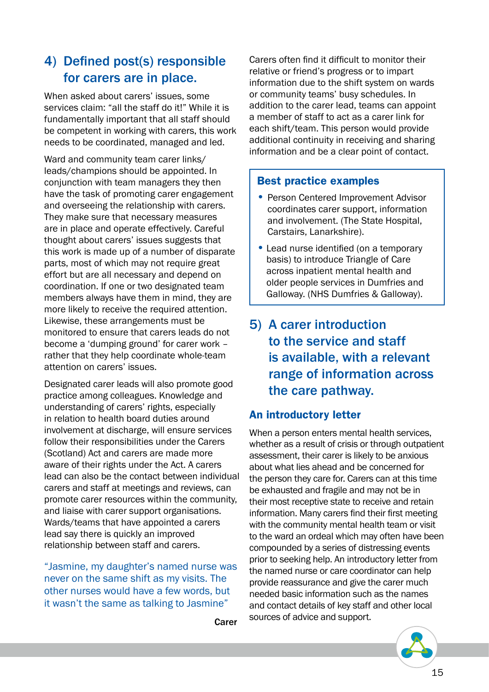#### 4) Defined post(s) responsible for carers are in place.

When asked about carers' issues, some services claim: "all the staff do it!" While it is fundamentally important that all staff should be competent in working with carers, this work needs to be coordinated, managed and led.

Ward and community team carer links/ leads/champions should be appointed. In conjunction with team managers they then have the task of promoting carer engagement and overseeing the relationship with carers. They make sure that necessary measures are in place and operate effectively. Careful thought about carers' issues suggests that this work is made up of a number of disparate parts, most of which may not require great effort but are all necessary and depend on coordination. If one or two designated team members always have them in mind, they are more likely to receive the required attention. Likewise, these arrangements must be monitored to ensure that carers leads do not become a 'dumping ground' for carer work – rather that they help coordinate whole-team attention on carers' issues.

Designated carer leads will also promote good practice among colleagues. Knowledge and understanding of carers' rights, especially in relation to health board duties around involvement at discharge, will ensure services follow their responsibilities under the Carers (Scotland) Act and carers are made more aware of their rights under the Act. A carers lead can also be the contact between individual carers and staff at meetings and reviews, can promote carer resources within the community, and liaise with carer support organisations. Wards/teams that have appointed a carers lead say there is quickly an improved relationship between staff and carers.

"Jasmine, my daughter's named nurse was never on the same shift as my visits. The other nurses would have a few words, but it wasn't the same as talking to Jasmine"

Carer

Carers often find it difficult to monitor their relative or friend's progress or to impart information due to the shift system on wards or community teams' busy schedules. In addition to the carer lead, teams can appoint a member of staff to act as a carer link for each shift/team. This person would provide additional continuity in receiving and sharing information and be a clear point of contact.

#### Best practice examples

- Person Centered Improvement Advisor coordinates carer support, information and involvement. (The State Hospital, Carstairs, Lanarkshire).
- Lead nurse identified (on a temporary basis) to introduce Triangle of Care across inpatient mental health and older people services in Dumfries and Galloway. (NHS Dumfries & Galloway).
- 5) A carer introduction to the service and staff is available, with a relevant range of information across the care pathway.

#### An introductory letter

When a person enters mental health services, whether as a result of crisis or through outpatient assessment, their carer is likely to be anxious about what lies ahead and be concerned for the person they care for. Carers can at this time be exhausted and fragile and may not be in their most receptive state to receive and retain information. Many carers find their first meeting with the community mental health team or visit to the ward an ordeal which may often have been compounded by a series of distressing events prior to seeking help. An introductory letter from the named nurse or care coordinator can help provide reassurance and give the carer much needed basic information such as the names and contact details of key staff and other local sources of advice and support.

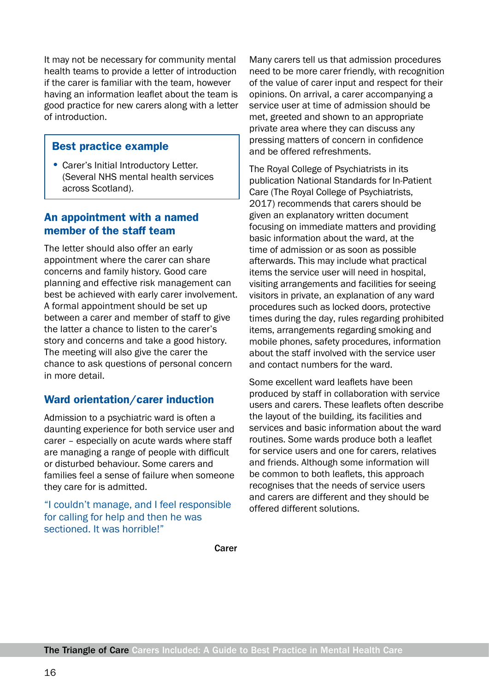It may not be necessary for community mental health teams to provide a letter of introduction if the carer is familiar with the team, however having an information leaflet about the team is good practice for new carers along with a letter of introduction.

#### Best practice example

• Carer's Initial Introductory Letter. (Several NHS mental health services across Scotland).

#### An appointment with a named member of the staff team

The letter should also offer an early appointment where the carer can share concerns and family history. Good care planning and effective risk management can best be achieved with early carer involvement. A formal appointment should be set up between a carer and member of staff to give the latter a chance to listen to the carer's story and concerns and take a good history. The meeting will also give the carer the chance to ask questions of personal concern in more detail.

#### Ward orientation/carer induction

Admission to a psychiatric ward is often a daunting experience for both service user and carer – especially on acute wards where staff are managing a range of people with difficult or disturbed behaviour. Some carers and families feel a sense of failure when someone they care for is admitted.

"I couldn't manage, and I feel responsible for calling for help and then he was sectioned. It was horrible!"

Many carers tell us that admission procedures need to be more carer friendly, with recognition of the value of carer input and respect for their opinions. On arrival, a carer accompanying a service user at time of admission should be met, greeted and shown to an appropriate private area where they can discuss any pressing matters of concern in confidence and be offered refreshments.

The Royal College of Psychiatrists in its publication National Standards for In-Patient Care (The Royal College of Psychiatrists, 2017) recommends that carers should be given an explanatory written document focusing on immediate matters and providing basic information about the ward, at the time of admission or as soon as possible afterwards. This may include what practical items the service user will need in hospital, visiting arrangements and facilities for seeing visitors in private, an explanation of any ward procedures such as locked doors, protective times during the day, rules regarding prohibited items, arrangements regarding smoking and mobile phones, safety procedures, information about the staff involved with the service user and contact numbers for the ward.

Some excellent ward leaflets have been produced by staff in collaboration with service users and carers. These leaflets often describe the layout of the building, its facilities and services and basic information about the ward routines. Some wards produce both a leaflet for service users and one for carers, relatives and friends. Although some information will be common to both leaflets, this approach recognises that the needs of service users and carers are different and they should be offered different solutions.

Carer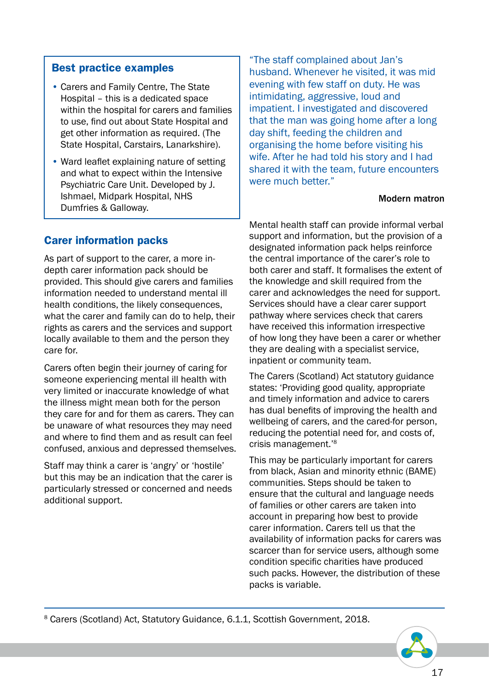#### Best practice examples

- Carers and Family Centre, The State Hospital – this is a dedicated space within the hospital for carers and families to use, find out about State Hospital and get other information as required. (The State Hospital, Carstairs, Lanarkshire).
- Ward leaflet explaining nature of setting and what to expect within the Intensive Psychiatric Care Unit. Developed by J. Ishmael, Midpark Hospital, NHS Dumfries & Galloway.

"The staff complained about Jan's husband. Whenever he visited, it was mid evening with few staff on duty. He was intimidating, aggressive, loud and impatient. I investigated and discovered that the man was going home after a long day shift, feeding the children and organising the home before visiting his wife. After he had told his story and I had shared it with the team, future encounters were much better."

#### Modern matron

#### Carer information packs

As part of support to the carer, a more indepth carer information pack should be provided. This should give carers and families information needed to understand mental ill health conditions, the likely consequences. what the carer and family can do to help, their rights as carers and the services and support locally available to them and the person they care for.

Carers often begin their journey of caring for someone experiencing mental ill health with very limited or inaccurate knowledge of what the illness might mean both for the person they care for and for them as carers. They can be unaware of what resources they may need and where to find them and as result can feel confused, anxious and depressed themselves.

Staff may think a carer is 'angry' or 'hostile' but this may be an indication that the carer is particularly stressed or concerned and needs additional support.

Mental health staff can provide informal verbal support and information, but the provision of a designated information pack helps reinforce the central importance of the carer's role to both carer and staff. It formalises the extent of the knowledge and skill required from the carer and acknowledges the need for support. Services should have a clear carer support pathway where services check that carers have received this information irrespective of how long they have been a carer or whether they are dealing with a specialist service, inpatient or community team.

The Carers (Scotland) Act statutory guidance states: 'Providing good quality, appropriate and timely information and advice to carers has dual benefits of improving the health and wellbeing of carers, and the cared-for person, reducing the potential need for, and costs of, crisis management.'8

This may be particularly important for carers from black, Asian and minority ethnic (BAME) communities. Steps should be taken to ensure that the cultural and language needs of families or other carers are taken into account in preparing how best to provide carer information. Carers tell us that the availability of information packs for carers was scarcer than for service users, although some condition specific charities have produced such packs. However, the distribution of these packs is variable.

8 Carers (Scotland) Act, Statutory Guidance, 6.1.1, Scottish Government, 2018.

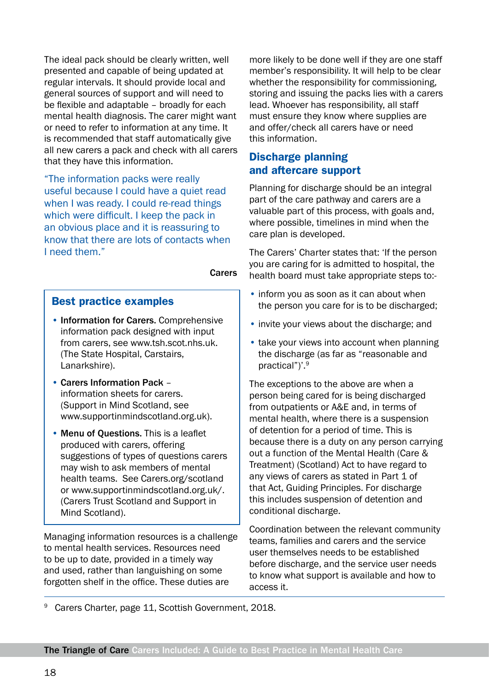The ideal pack should be clearly written, well presented and capable of being updated at regular intervals. It should provide local and general sources of support and will need to be flexible and adaptable – broadly for each mental health diagnosis. The carer might want or need to refer to information at any time. It is recommended that staff automatically give all new carers a pack and check with all carers that they have this information.

"The information packs were really useful because I could have a quiet read when I was ready. I could re-read things which were difficult. I keep the pack in an obvious place and it is reassuring to know that there are lots of contacts when I need them."

Carers

#### Best practice examples

- Information for Carers. Comprehensive information pack designed with input from carers, see www.tsh.scot.nhs.uk. (The State Hospital, Carstairs, Lanarkshire).
- Carers Information Pack information sheets for carers. (Support in Mind Scotland, see www.supportinmindscotland.org.uk).
- Menu of Questions. This is a leaflet produced with carers, offering suggestions of types of questions carers may wish to ask members of mental health teams. See Carers.org/scotland or www.supportinmindscotland.org.uk/. (Carers Trust Scotland and Support in Mind Scotland).

Managing information resources is a challenge to mental health services. Resources need to be up to date, provided in a timely way and used, rather than languishing on some forgotten shelf in the office. These duties are

more likely to be done well if they are one staff member's responsibility. It will help to be clear whether the responsibility for commissioning, storing and issuing the packs lies with a carers lead. Whoever has responsibility, all staff must ensure they know where supplies are and offer/check all carers have or need this information.

#### Discharge planning and aftercare support

Planning for discharge should be an integral part of the care pathway and carers are a valuable part of this process, with goals and, where possible, timelines in mind when the care plan is developed.

The Carers' Charter states that: 'If the person you are caring for is admitted to hospital, the health board must take appropriate steps to:-

- inform you as soon as it can about when the person you care for is to be discharged;
- invite your views about the discharge; and
- take your views into account when planning the discharge (as far as "reasonable and practical")'.9

The exceptions to the above are when a person being cared for is being discharged from outpatients or A&E and, in terms of mental health, where there is a suspension of detention for a period of time. This is because there is a duty on any person carrying out a function of the Mental Health (Care & Treatment) (Scotland) Act to have regard to any views of carers as stated in Part 1 of that Act, Guiding Principles. For discharge this includes suspension of detention and conditional discharge.

Coordination between the relevant community teams, families and carers and the service user themselves needs to be established before discharge, and the service user needs to know what support is available and how to access it.

Carers Charter, page 11, Scottish Government, 2018.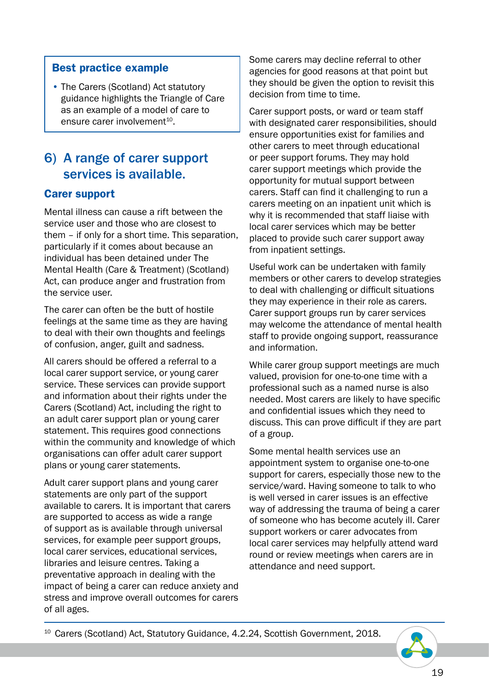#### Best practice example

• The Carers (Scotland) Act statutory guidance highlights the Triangle of Care as an example of a model of care to ensure carer involvement $10$ .

#### 6) A range of carer support services is available.

#### Carer support

Mental illness can cause a rift between the service user and those who are closest to them – if only for a short time. This separation, particularly if it comes about because an individual has been detained under The Mental Health (Care & Treatment) (Scotland) Act, can produce anger and frustration from the service user.

The carer can often be the butt of hostile feelings at the same time as they are having to deal with their own thoughts and feelings of confusion, anger, guilt and sadness.

All carers should be offered a referral to a local carer support service, or young carer service. These services can provide support and information about their rights under the Carers (Scotland) Act, including the right to an adult carer support plan or young carer statement. This requires good connections within the community and knowledge of which organisations can offer adult carer support plans or young carer statements.

Adult carer support plans and young carer statements are only part of the support available to carers. It is important that carers are supported to access as wide a range of support as is available through universal services, for example peer support groups, local carer services, educational services, libraries and leisure centres. Taking a preventative approach in dealing with the impact of being a carer can reduce anxiety and stress and improve overall outcomes for carers of all ages.

Some carers may decline referral to other agencies for good reasons at that point but they should be given the option to revisit this decision from time to time.

Carer support posts, or ward or team staff with designated carer responsibilities, should ensure opportunities exist for families and other carers to meet through educational or peer support forums. They may hold carer support meetings which provide the opportunity for mutual support between carers. Staff can find it challenging to run a carers meeting on an inpatient unit which is why it is recommended that staff liaise with local carer services which may be better placed to provide such carer support away from inpatient settings.

Useful work can be undertaken with family members or other carers to develop strategies to deal with challenging or difficult situations they may experience in their role as carers. Carer support groups run by carer services may welcome the attendance of mental health staff to provide ongoing support, reassurance and information.

While carer group support meetings are much valued, provision for one-to-one time with a professional such as a named nurse is also needed. Most carers are likely to have specific and confidential issues which they need to discuss. This can prove difficult if they are part of a group.

Some mental health services use an appointment system to organise one-to-one support for carers, especially those new to the service/ward. Having someone to talk to who is well versed in carer issues is an effective way of addressing the trauma of being a carer of someone who has become acutely ill. Carer support workers or carer advocates from local carer services may helpfully attend ward round or review meetings when carers are in attendance and need support.

<sup>10</sup> Carers (Scotland) Act, Statutory Guidance, 4.2.24, Scottish Government, 2018.

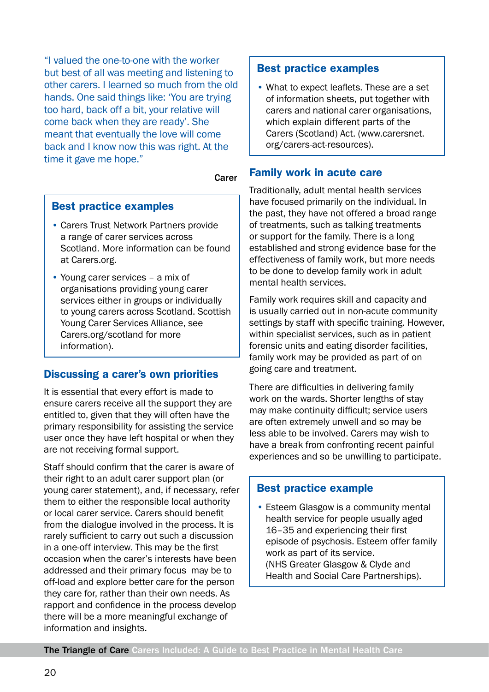"I valued the one-to-one with the worker but best of all was meeting and listening to other carers. I learned so much from the old hands. One said things like: 'You are trying too hard, back off a bit, your relative will come back when they are ready'. She meant that eventually the love will come back and I know now this was right. At the time it gave me hope."

#### Carer

#### Best practice examples

- Carers Trust Network Partners provide a range of carer services across Scotland. More information can be found at Carers.org.
- Young carer services a mix of organisations providing young carer services either in groups or individually to young carers across Scotland. Scottish Young Carer Services Alliance, see Carers.org/scotland for more information).

#### Discussing a carer's own priorities

It is essential that every effort is made to ensure carers receive all the support they are entitled to, given that they will often have the primary responsibility for assisting the service user once they have left hospital or when they are not receiving formal support.

Staff should confirm that the carer is aware of their right to an adult carer support plan (or young carer statement), and, if necessary, refer them to either the responsible local authority or local carer service. Carers should benefit from the dialogue involved in the process. It is rarely sufficient to carry out such a discussion in a one-off interview. This may be the first occasion when the carer's interests have been addressed and their primary focus may be to off-load and explore better care for the person they care for, rather than their own needs. As rapport and confidence in the process develop there will be a more meaningful exchange of information and insights.

#### Best practice examples

• What to expect leaflets. These are a set of information sheets, put together with carers and national carer organisations, which explain different parts of the Carers (Scotland) Act. (www.carersnet. org/carers-act-resources).

#### Family work in acute care

Traditionally, adult mental health services have focused primarily on the individual. In the past, they have not offered a broad range of treatments, such as talking treatments or support for the family. There is a long established and strong evidence base for the effectiveness of family work, but more needs to be done to develop family work in adult mental health services.

Family work requires skill and capacity and is usually carried out in non-acute community settings by staff with specific training. However, within specialist services, such as in patient forensic units and eating disorder facilities, family work may be provided as part of on going care and treatment.

There are difficulties in delivering family work on the wards. Shorter lengths of stay may make continuity difficult; service users are often extremely unwell and so may be less able to be involved. Carers may wish to have a break from confronting recent painful experiences and so be unwilling to participate.

#### Best practice example

• Esteem Glasgow is a community mental health service for people usually aged 16–35 and experiencing their first episode of psychosis. Esteem offer family work as part of its service. (NHS Greater Glasgow & Clyde and Health and Social Care Partnerships).

The Triangle of Care Carers Included: A Guide to Best Practice in Mental Health Care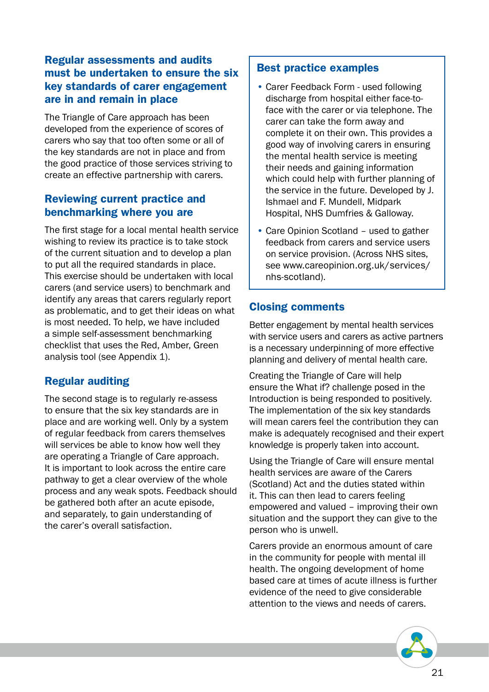#### Regular assessments and audits must be undertaken to ensure the six key standards of carer engagement are in and remain in place

The Triangle of Care approach has been developed from the experience of scores of carers who say that too often some or all of the key standards are not in place and from the good practice of those services striving to create an effective partnership with carers.

#### Reviewing current practice and benchmarking where you are

The first stage for a local mental health service wishing to review its practice is to take stock of the current situation and to develop a plan to put all the required standards in place. This exercise should be undertaken with local carers (and service users) to benchmark and identify any areas that carers regularly report as problematic, and to get their ideas on what is most needed. To help, we have included a simple self-assessment benchmarking checklist that uses the Red, Amber, Green analysis tool (see Appendix 1).

#### Regular auditing

The second stage is to regularly re-assess to ensure that the six key standards are in place and are working well. Only by a system of regular feedback from carers themselves will services be able to know how well they are operating a Triangle of Care approach. It is important to look across the entire care pathway to get a clear overview of the whole process and any weak spots. Feedback should be gathered both after an acute episode, and separately, to gain understanding of the carer's overall satisfaction.

#### Best practice examples

- Carer Feedback Form used following discharge from hospital either face-toface with the carer or via telephone. The carer can take the form away and complete it on their own. This provides a good way of involving carers in ensuring the mental health service is meeting their needs and gaining information which could help with further planning of the service in the future. Developed by J. Ishmael and F. Mundell, Midpark Hospital, NHS Dumfries & Galloway.
- Care Opinion Scotland used to gather feedback from carers and service users on service provision. (Across NHS sites, see www.careopinion.org.uk/services/ nhs-scotland).

#### Closing comments

Better engagement by mental health services with service users and carers as active partners is a necessary underpinning of more effective planning and delivery of mental health care.

Creating the Triangle of Care will help ensure the What if? challenge posed in the Introduction is being responded to positively. The implementation of the six key standards will mean carers feel the contribution they can make is adequately recognised and their expert knowledge is properly taken into account.

Using the Triangle of Care will ensure mental health services are aware of the Carers (Scotland) Act and the duties stated within it. This can then lead to carers feeling empowered and valued – improving their own situation and the support they can give to the person who is unwell.

Carers provide an enormous amount of care in the community for people with mental ill health. The ongoing development of home based care at times of acute illness is further evidence of the need to give considerable attention to the views and needs of carers.

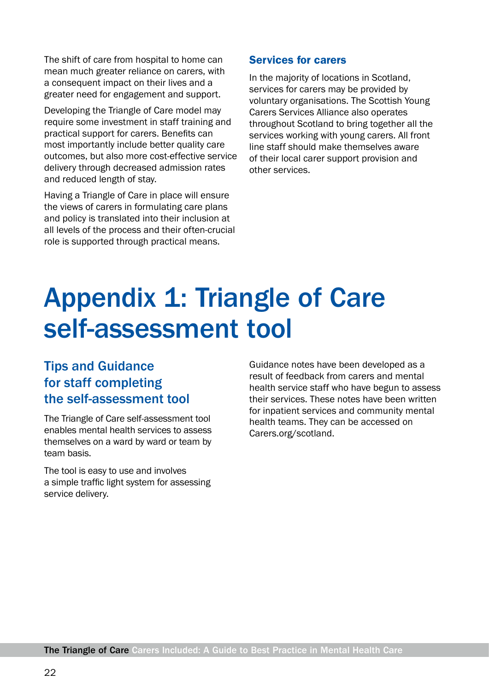The shift of care from hospital to home can mean much greater reliance on carers, with a consequent impact on their lives and a greater need for engagement and support.

Developing the Triangle of Care model may require some investment in staff training and practical support for carers. Benefits can most importantly include better quality care outcomes, but also more cost-effective service delivery through decreased admission rates and reduced length of stay.

Having a Triangle of Care in place will ensure the views of carers in formulating care plans and policy is translated into their inclusion at all levels of the process and their often-crucial role is supported through practical means.

#### Services for carers

In the majority of locations in Scotland, services for carers may be provided by voluntary organisations. The Scottish Young Carers Services Alliance also operates throughout Scotland to bring together all the services working with young carers. All front line staff should make themselves aware of their local carer support provision and other services.

## Appendix 1: Triangle of Care self-assessment tool

#### Tips and Guidance for staff completing the self-assessment tool

The Triangle of Care self-assessment tool enables mental health services to assess themselves on a ward by ward or team by team basis.

The tool is easy to use and involves a simple traffic light system for assessing service delivery.

Guidance notes have been developed as a result of feedback from carers and mental health service staff who have begun to assess their services. These notes have been written for inpatient services and community mental health teams. They can be accessed on Carers.org/scotland.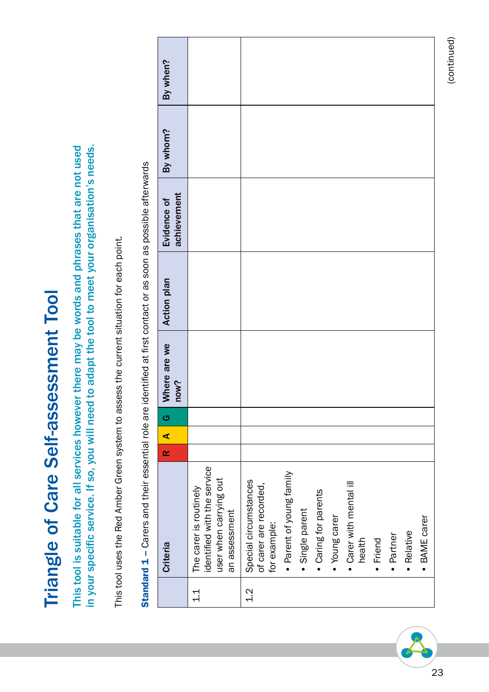| l<br>S C C C C C C C C C<br>j<br>l |
|------------------------------------|
|                                    |
|                                    |
|                                    |
|                                    |
|                                    |
|                                    |
|                                    |
|                                    |
|                                    |
|                                    |
|                                    |
|                                    |
|                                    |
|                                    |
|                                    |
|                                    |
|                                    |
|                                    |
|                                    |
|                                    |
|                                    |
|                                    |
|                                    |
| ٦,                                 |
| $\overline{\mathbf{C}}$            |
|                                    |
|                                    |

This tool is suitable for all services however there may be words and phrases that are not used This tool is suitable for all services however there may be words and phrases that are not used in your specific service. If so, you will need to adapt the tool to meet your organisation's needs. in your specific service. If so, you will need to adapt the tool to meet your organisation's needs.

This tool uses the Red Amber Green system to assess the current situation for each point. This tool uses the Red Amber Green system to assess the current situation for each point.

| By when?                   |                                                                                                  |                                                                                                                                                                                                                                                     |
|----------------------------|--------------------------------------------------------------------------------------------------|-----------------------------------------------------------------------------------------------------------------------------------------------------------------------------------------------------------------------------------------------------|
| By whom?                   |                                                                                                  |                                                                                                                                                                                                                                                     |
| achievement<br>Evidence of |                                                                                                  |                                                                                                                                                                                                                                                     |
| <b>Action plan</b>         |                                                                                                  |                                                                                                                                                                                                                                                     |
| Where are we<br>now?       |                                                                                                  |                                                                                                                                                                                                                                                     |
| G                          |                                                                                                  |                                                                                                                                                                                                                                                     |
| ⋖                          |                                                                                                  |                                                                                                                                                                                                                                                     |
| $\alpha$                   |                                                                                                  |                                                                                                                                                                                                                                                     |
| <b>Criteria</b>            | identified with the service<br>user when carrying out<br>The carer is routinely<br>an assessment | · Parent of young family<br>Special circumstances<br>• Carer with mental ill<br>of carer are recorded,<br>• Caring for parents<br>· Single parent<br>• Young carer<br>· BAME carer<br>for example:<br>· Relative<br>· Partner<br>health<br>· Friend |
|                            | $\frac{1}{1}$                                                                                    | $\frac{2}{1}$                                                                                                                                                                                                                                       |

Standard 1 - Carers and their essential role are identified at first contact or as soon as possible afterwards Standard 1 – Carers and their essential role are identified at first contact or as soon as possible afterwards

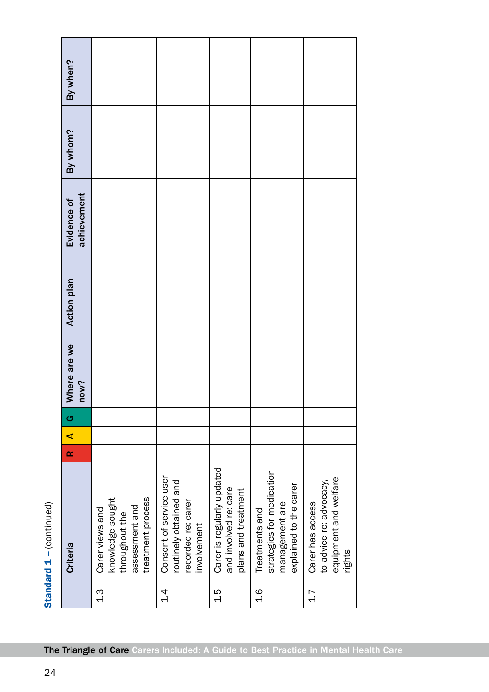| By when?                   |                                                                                              |                                                                                        |                                                                            |                                                                                         |                                                                                |
|----------------------------|----------------------------------------------------------------------------------------------|----------------------------------------------------------------------------------------|----------------------------------------------------------------------------|-----------------------------------------------------------------------------------------|--------------------------------------------------------------------------------|
| By whom?                   |                                                                                              |                                                                                        |                                                                            |                                                                                         |                                                                                |
| achievement<br>Evidence of |                                                                                              |                                                                                        |                                                                            |                                                                                         |                                                                                |
| <b>Action plan</b>         |                                                                                              |                                                                                        |                                                                            |                                                                                         |                                                                                |
| Where are we<br>now?       |                                                                                              |                                                                                        |                                                                            |                                                                                         |                                                                                |
| G                          |                                                                                              |                                                                                        |                                                                            |                                                                                         |                                                                                |
| ⋖                          |                                                                                              |                                                                                        |                                                                            |                                                                                         |                                                                                |
| $\alpha$                   |                                                                                              |                                                                                        |                                                                            |                                                                                         |                                                                                |
| <b>Criteria</b>            | treatment process<br>knowledge sought<br>assessment and<br>Carer views and<br>throughout the | Consent of service user<br>routinely obtained and<br>recorded re: carer<br>involvement | Carer is regularly updated<br>and involved re: care<br>plans and treatment | strategies for medication<br>explained to the carer<br>management are<br>Treatments and | equipment and welfare<br>to advice re: advocacy,<br>Carer has access<br>rights |
|                            | <u>ე</u>                                                                                     | $\frac{4}{1}$                                                                          | 1.5                                                                        | $\frac{6}{1}$                                                                           | 1.7                                                                            |

Standard 1 - (continued) **Standard**  $1 - ($ **continued)**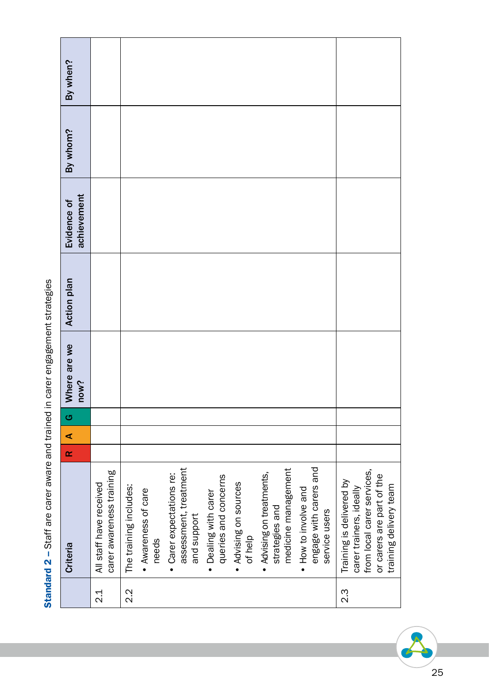|                  | Criteria                                                                                                                                 | $\propto$ | $\blacktriangleleft$ | G | Where are we<br>now? | <b>Action plan</b> | achievement<br>Evidence of | By whom? | By when? |
|------------------|------------------------------------------------------------------------------------------------------------------------------------------|-----------|----------------------|---|----------------------|--------------------|----------------------------|----------|----------|
| $\frac{1}{2}$    | carer awareness training<br>All staff have received                                                                                      |           |                      |   |                      |                    |                            |          |          |
| $2.\overline{2}$ | The training includes:                                                                                                                   |           |                      |   |                      |                    |                            |          |          |
|                  | • Awareness of care<br>needs                                                                                                             |           |                      |   |                      |                    |                            |          |          |
|                  | assessment, treatment<br>· Carer expectations re:<br>and support                                                                         |           |                      |   |                      |                    |                            |          |          |
|                  | queries and concerns<br>· Dealing with carer                                                                                             |           |                      |   |                      |                    |                            |          |          |
|                  | . Advising on sources<br>of help                                                                                                         |           |                      |   |                      |                    |                            |          |          |
|                  | medicine management<br>· Advising on treatments,<br>strategies and                                                                       |           |                      |   |                      |                    |                            |          |          |
|                  | engage with carers and<br>• How to involve and<br>service users                                                                          |           |                      |   |                      |                    |                            |          |          |
| $2.\overline{3}$ | from local carer services,<br>or carers are part of the<br>Training is delivered by<br>training delivery team<br>carer trainers, ideally |           |                      |   |                      |                    |                            |          |          |

Standard 2 - Staff are carer aware and trained in carer engagement strategies Standard 2 – Staff are carer aware and trained in carer engagement strategies

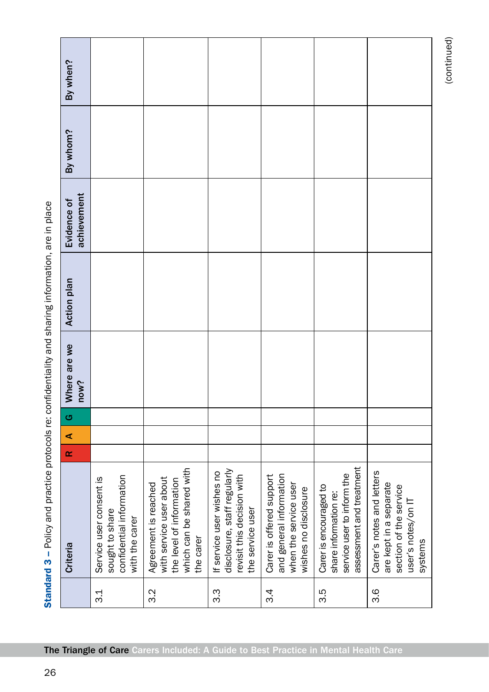|     | Criteria                                                                                                             | $\propto$ | $\blacktriangleleft$ | G | Where are we<br>now? | <b>Action plan</b> | achievement<br>Evidence of | By whom? | By when? |
|-----|----------------------------------------------------------------------------------------------------------------------|-----------|----------------------|---|----------------------|--------------------|----------------------------|----------|----------|
| 3.1 | confidential information<br>Service user consent is<br>sought to share<br>with the carer                             |           |                      |   |                      |                    |                            |          |          |
| 3.2 | which can be shared with<br>with service user about<br>the level of information<br>Agreement is reached<br>the carer |           |                      |   |                      |                    |                            |          |          |
| 3.3 | disclosure, staff regularly<br>If service user wishes no<br>revisit this decision with<br>the service user           |           |                      |   |                      |                    |                            |          |          |
| 3.4 | and general information<br>Carer is offered support<br>when the service user<br>wishes no disclosure                 |           |                      |   |                      |                    |                            |          |          |
| 3.5 | assessment and treatment<br>service user to inform the<br>Carer is encouraged to<br>share information re:            |           |                      |   |                      |                    |                            |          |          |
| 3.6 | Carer's notes and letters<br>are kept in a separate<br>section of the service<br>user's notes/on IT<br>systems       |           |                      |   |                      |                    |                            |          |          |

(continued) (continued)

Standard 3 - Policy and practice protocols re: confidentiality and sharing information, are in place Standard 3 – Policy and practice protocols re: confidentiality and sharing information, are in place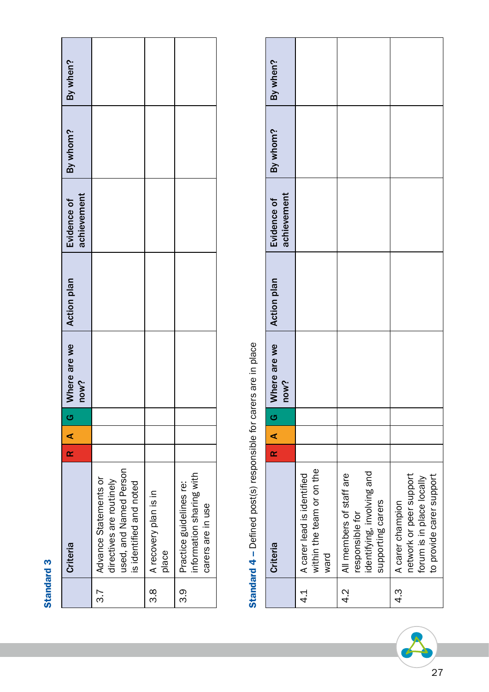## Standard 3 Standard 3

| By when?                   |                                                                                                        |                                      |                                                                          |
|----------------------------|--------------------------------------------------------------------------------------------------------|--------------------------------------|--------------------------------------------------------------------------|
| By whom?                   |                                                                                                        |                                      |                                                                          |
| achievement<br>Evidence of |                                                                                                        |                                      |                                                                          |
| <b>Action plan</b>         |                                                                                                        |                                      |                                                                          |
| Where are we<br>now?       |                                                                                                        |                                      |                                                                          |
| ပ                          |                                                                                                        |                                      |                                                                          |
| $\overline{A}$             |                                                                                                        |                                      |                                                                          |
| R                          |                                                                                                        |                                      |                                                                          |
| Criteria                   | used, and Named Person<br>Advance Statements or<br>directives are routinely<br>is identified and noted | 3.8   A recovery plan is in<br>place | information sharing with<br>Practice guidelines re:<br>carers are in use |
|                            | 3.7                                                                                                    |                                      | თ.<br>ო                                                                  |

# Standard 4 - Defined post(s) responsible for carers are in place Standard 4 – Defined post(s) responsible for carers are in place

|         | Criteria                                                                                             | $\overline{\mathbf{r}}$ | $\overline{\phantom{a}}$ | ဟ | Where are we<br>now? | <b>Action plan</b> | achievement<br>Evidence of | By whom? | By when? |
|---------|------------------------------------------------------------------------------------------------------|-------------------------|--------------------------|---|----------------------|--------------------|----------------------------|----------|----------|
| 4.<br>4 | within the team or on the<br>A carer lead is identified<br>ward                                      |                         |                          |   |                      |                    |                            |          |          |
| 4.<br>4 | identifying, involving and<br>All members of staff are<br>supporting carers<br>responsible for       |                         |                          |   |                      |                    |                            |          |          |
| 4.<br>4 | to provide carer support<br>network or peer support<br>forum is in place locally<br>A carer champion |                         |                          |   |                      |                    |                            |          |          |

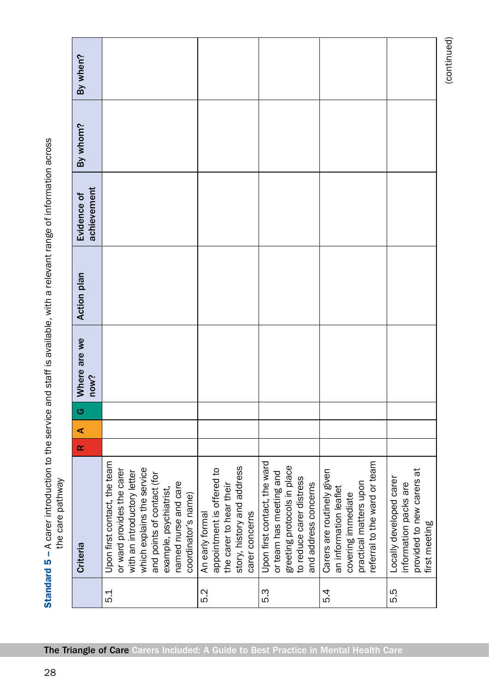|                    | By when?                          |                                                                                                                                                                                                                                |                                                                                                                         |                                                                                                                                            |                                                                                                                                      |                                                                                                |
|--------------------|-----------------------------------|--------------------------------------------------------------------------------------------------------------------------------------------------------------------------------------------------------------------------------|-------------------------------------------------------------------------------------------------------------------------|--------------------------------------------------------------------------------------------------------------------------------------------|--------------------------------------------------------------------------------------------------------------------------------------|------------------------------------------------------------------------------------------------|
|                    |                                   |                                                                                                                                                                                                                                |                                                                                                                         |                                                                                                                                            |                                                                                                                                      |                                                                                                |
|                    |                                   |                                                                                                                                                                                                                                |                                                                                                                         |                                                                                                                                            |                                                                                                                                      |                                                                                                |
|                    |                                   |                                                                                                                                                                                                                                |                                                                                                                         |                                                                                                                                            |                                                                                                                                      |                                                                                                |
|                    | By whom?                          |                                                                                                                                                                                                                                |                                                                                                                         |                                                                                                                                            |                                                                                                                                      |                                                                                                |
|                    |                                   |                                                                                                                                                                                                                                |                                                                                                                         |                                                                                                                                            |                                                                                                                                      |                                                                                                |
|                    |                                   |                                                                                                                                                                                                                                |                                                                                                                         |                                                                                                                                            |                                                                                                                                      |                                                                                                |
|                    | achievement<br>Evidence of        |                                                                                                                                                                                                                                |                                                                                                                         |                                                                                                                                            |                                                                                                                                      |                                                                                                |
|                    |                                   |                                                                                                                                                                                                                                |                                                                                                                         |                                                                                                                                            |                                                                                                                                      |                                                                                                |
|                    |                                   |                                                                                                                                                                                                                                |                                                                                                                         |                                                                                                                                            |                                                                                                                                      |                                                                                                |
|                    |                                   |                                                                                                                                                                                                                                |                                                                                                                         |                                                                                                                                            |                                                                                                                                      |                                                                                                |
|                    | <b>Action plan</b>                |                                                                                                                                                                                                                                |                                                                                                                         |                                                                                                                                            |                                                                                                                                      |                                                                                                |
|                    |                                   |                                                                                                                                                                                                                                |                                                                                                                         |                                                                                                                                            |                                                                                                                                      |                                                                                                |
|                    |                                   |                                                                                                                                                                                                                                |                                                                                                                         |                                                                                                                                            |                                                                                                                                      |                                                                                                |
|                    | Where are we                      |                                                                                                                                                                                                                                |                                                                                                                         |                                                                                                                                            |                                                                                                                                      |                                                                                                |
|                    | now?                              |                                                                                                                                                                                                                                |                                                                                                                         |                                                                                                                                            |                                                                                                                                      |                                                                                                |
|                    |                                   |                                                                                                                                                                                                                                |                                                                                                                         |                                                                                                                                            |                                                                                                                                      |                                                                                                |
|                    | G                                 |                                                                                                                                                                                                                                |                                                                                                                         |                                                                                                                                            |                                                                                                                                      |                                                                                                |
|                    | $\blacktriangleleft$<br>$\propto$ |                                                                                                                                                                                                                                |                                                                                                                         |                                                                                                                                            |                                                                                                                                      |                                                                                                |
|                    |                                   |                                                                                                                                                                                                                                |                                                                                                                         |                                                                                                                                            |                                                                                                                                      |                                                                                                |
|                    |                                   |                                                                                                                                                                                                                                |                                                                                                                         |                                                                                                                                            |                                                                                                                                      |                                                                                                |
| LILE Call B To DIE |                                   |                                                                                                                                                                                                                                |                                                                                                                         |                                                                                                                                            |                                                                                                                                      |                                                                                                |
|                    |                                   |                                                                                                                                                                                                                                |                                                                                                                         |                                                                                                                                            |                                                                                                                                      |                                                                                                |
|                    |                                   |                                                                                                                                                                                                                                |                                                                                                                         |                                                                                                                                            |                                                                                                                                      |                                                                                                |
|                    | Criteria                          | Upon first contact, the team<br>which explains the service<br>or ward provides the carer<br>with an introductory letter<br>and points of contact (for<br>named nurse and care<br>example, psychiatrist,<br>coordinator's name) | story, history and address<br>appointment is offered to<br>the carer to hear their<br>carer concerns<br>An early formal | Upon first contact, the ward<br>greeting protocols in place<br>or team has meeting and<br>to reduce carer distress<br>and address concerns | referral to the ward or team<br>Carers are routinely given<br>practical matters upon<br>an information leaflet<br>covering immediate | provided to new carers at<br>Locally developed carer<br>information packs are<br>first meeting |
|                    |                                   |                                                                                                                                                                                                                                |                                                                                                                         |                                                                                                                                            |                                                                                                                                      |                                                                                                |
|                    |                                   | 5.1                                                                                                                                                                                                                            | 5.2                                                                                                                     | 5.3                                                                                                                                        | 54                                                                                                                                   | 5.5                                                                                            |

(continued) (continued)

Standard 5 - A carer introduction to the service and staff is available, with a relevant range of information across **Standard 5** – A carer introduction to the service and staff is available, with a relevant range of information across  $\infty$ vewyteo areo adt the care pathway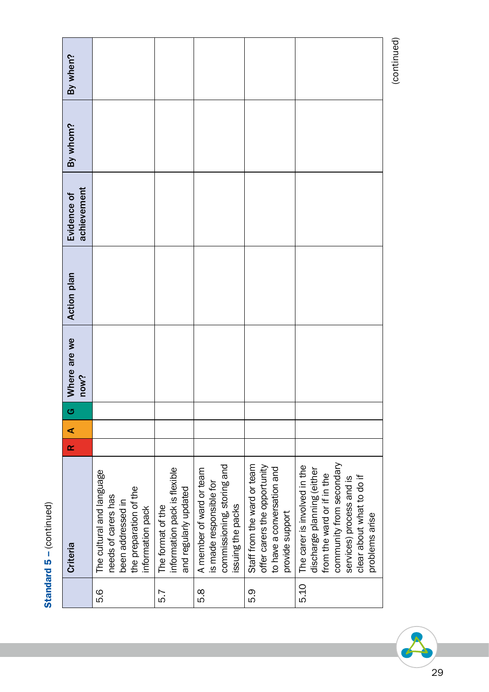| J<br>١ |
|--------|
|        |
| もくい    |
|        |
|        |
| IО     |
| 1<br>j |
|        |
|        |
|        |

|      | Criteria                                                                                                                                                                                        | œ | ⋖ | G | Where are we<br>now? | <b>Action plan</b> | achievement<br>Evidence of | By whom? | By when?    |
|------|-------------------------------------------------------------------------------------------------------------------------------------------------------------------------------------------------|---|---|---|----------------------|--------------------|----------------------------|----------|-------------|
| 5.G  | The cultural and language<br>the preparation of the<br>needs of carers has<br>been addressed in<br>information pack                                                                             |   |   |   |                      |                    |                            |          |             |
| 5.7  | information pack is flexible<br>and regularly updated<br>The format of the                                                                                                                      |   |   |   |                      |                    |                            |          |             |
| 5.8  | commissioning, storing and<br>A member of ward or team<br>is made responsible for<br>issuing the packs                                                                                          |   |   |   |                      |                    |                            |          |             |
| 5.3  | Staff from the ward or team<br>offer carers the opportunity<br>to have a conversation and<br>provide support                                                                                    |   |   |   |                      |                    |                            |          |             |
| 5.10 | community from secondary<br>The carer is involved in the<br>discharge planning (either<br>from the ward or if in the<br>clear about what to do if<br>services) process and is<br>problems arise |   |   |   |                      |                    |                            |          |             |
|      |                                                                                                                                                                                                 |   |   |   |                      |                    |                            |          | (continued) |

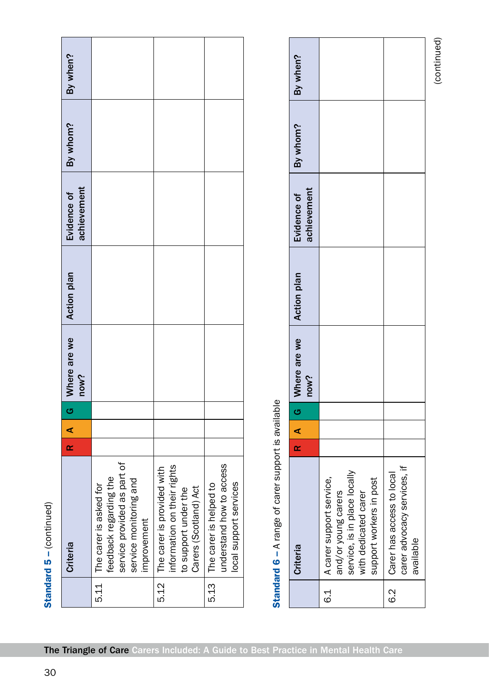|      | Standard $5 - (continued)$                                                                                               |   |   |   |                      |                    |                            |          |          |
|------|--------------------------------------------------------------------------------------------------------------------------|---|---|---|----------------------|--------------------|----------------------------|----------|----------|
|      | <b>Criteria</b>                                                                                                          | œ | ⋖ | G | Where are we<br>now? | <b>Action plan</b> | achievement<br>Evidence of | By whom? | By when? |
| 5.11 | service provided as part of<br>feedback regarding the<br>service monitoring and<br>The carer is asked for<br>improvement |   |   |   |                      |                    |                            |          |          |
| 5.12 | information on their rights<br>The carer is provided with<br>Carers (Scotland) Act<br>to support under the               |   |   |   |                      |                    |                            |          |          |
| 5.13 | understand how to access<br>local support services<br>The carer is helped to                                             |   |   |   |                      |                    |                            |          |          |

## Standard 6 - A range of carer support is available Standard 6 – A range of carer support is available

| achievement<br>now?<br>R A G<br>carer advocacy services, if<br>service, is in place locally<br>6.2   Carer has access to local<br>A carer support service,<br>support workers in post<br>with dedicated carer<br>and/or young carers<br>available<br>ન<br>બં |          |  |              |                    |             |          |          |
|--------------------------------------------------------------------------------------------------------------------------------------------------------------------------------------------------------------------------------------------------------------|----------|--|--------------|--------------------|-------------|----------|----------|
|                                                                                                                                                                                                                                                              | Criteria |  | Where are we | <b>Action plan</b> | Evidence of | By whom? | By when? |
|                                                                                                                                                                                                                                                              |          |  |              |                    |             |          |          |
|                                                                                                                                                                                                                                                              |          |  |              |                    |             |          |          |
|                                                                                                                                                                                                                                                              |          |  |              |                    |             |          |          |
|                                                                                                                                                                                                                                                              |          |  |              |                    |             |          |          |
|                                                                                                                                                                                                                                                              |          |  |              |                    |             |          |          |
|                                                                                                                                                                                                                                                              |          |  |              |                    |             |          |          |
|                                                                                                                                                                                                                                                              |          |  |              |                    |             |          |          |
|                                                                                                                                                                                                                                                              |          |  |              |                    |             |          |          |

(continued) (continued)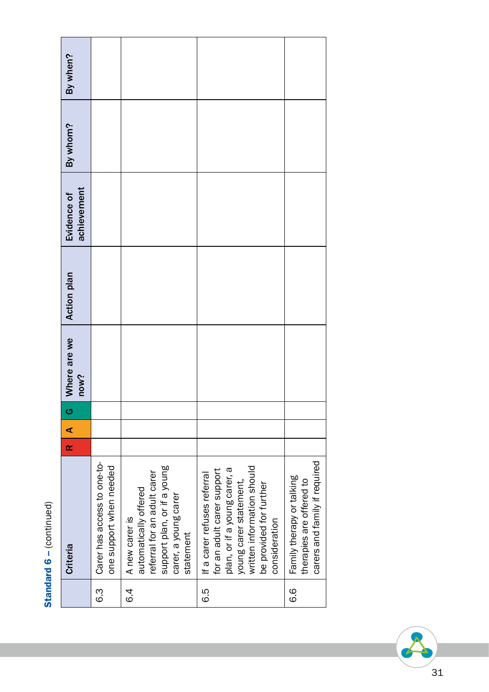| ļ<br>ĭ     |
|------------|
|            |
| ś          |
|            |
|            |
|            |
|            |
|            |
| is<br>2011 |
|            |
|            |
|            |
|            |
|            |
|            |
|            |
|            |
| J          |
| α          |
|            |
|            |
|            |
|            |
| ì          |
|            |
|            |
| î          |
|            |
|            |
|            |
|            |
|            |
|            |

|               | Criteria                                                                                                                                                                                      | œ | ⋖ | <mark>ය</mark> | Where are we<br>now? | <b>Action plan</b> | achievement<br>Evidence of | By whom? | By when? |
|---------------|-----------------------------------------------------------------------------------------------------------------------------------------------------------------------------------------------|---|---|----------------|----------------------|--------------------|----------------------------|----------|----------|
| ვ<br>დ        | Carer has access to one-to-<br>one support when needed                                                                                                                                        |   |   |                |                      |                    |                            |          |          |
| ረ<br>የ        | support plan, or if a young<br>referral for an adult carer<br>automatically offered<br>carer, a young carer<br>A new carer is<br>statement                                                    |   |   |                |                      |                    |                            |          |          |
| 5.9           | written information should<br>plan, or if a young carer, a<br>for an adult carer support<br>If a carer refuses referral<br>young carer statement,<br>be provided for further<br>consideration |   |   |                |                      |                    |                            |          |          |
| <u>၀</u><br>၀ | carers and family if required<br>Family therapy or talking<br>therapies are offered to                                                                                                        |   |   |                |                      |                    |                            |          |          |

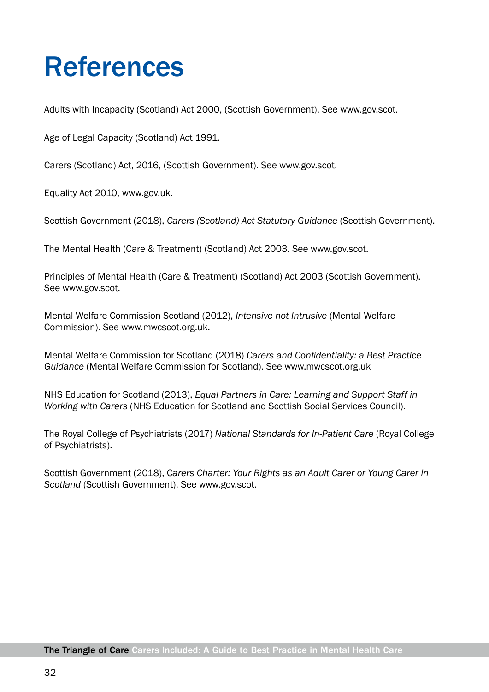## References

Adults with Incapacity (Scotland) Act 2000, (Scottish Government). See www.gov.scot.

Age of Legal Capacity (Scotland) Act 1991.

Carers (Scotland) Act, 2016, (Scottish Government). See www.gov.scot.

Equality Act 2010, www.gov.uk.

Scottish Government (2018), *Carers (Scotland) Act Statutory Guidance* (Scottish Government).

The Mental Health (Care & Treatment) (Scotland) Act 2003. See www.gov.scot.

Principles of Mental Health (Care & Treatment) (Scotland) Act 2003 (Scottish Government). See www.gov.scot.

Mental Welfare Commission Scotland (2012), *Intensive not Intrusive* (Mental Welfare Commission). See www.mwcscot.org.uk.

Mental Welfare Commission for Scotland (2018) *Carers and Confidentiality: a Best Practice Guidance* (Mental Welfare Commission for Scotland). See www.mwcscot.org.uk

NHS Education for Scotland (2013), *Equal Partners in Care: Learning and Support Staff in Working with Carers* (NHS Education for Scotland and Scottish Social Services Council).

The Royal College of Psychiatrists (2017) *National Standards for In-Patient Care* (Royal College of Psychiatrists).

Scottish Government (2018), C*arers Charter: Your Rights as an Adult Carer or Young Carer in Scotland* (Scottish Government). See www.gov.scot.